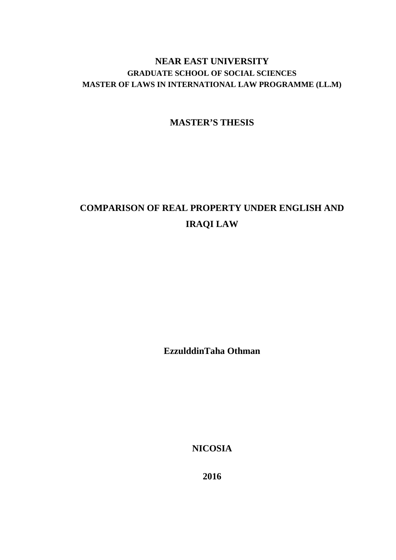## **NEAR EAST UNIVERSITY GRADUATE SCHOOL OF SOCIAL SCIENCES MASTER OF LAWS IN INTERNATIONAL LAW PROGRAMME (LL.M)**

## **MASTER'S THESIS**

# **COMPARISON OF REAL PROPERTY UNDER ENGLISH AND IRAQI LAW**

**EzzulddinTaha Othman**

**NICOSIA**

**2016**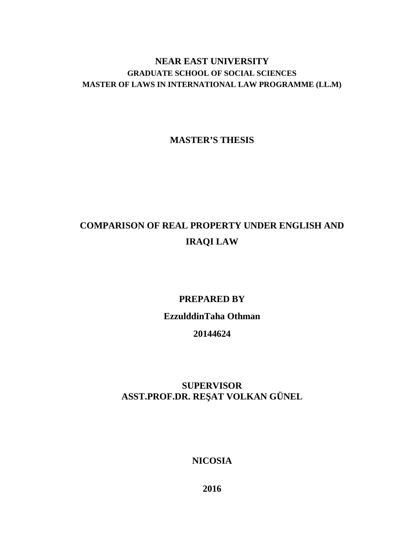## **NEAR EAST UNIVERSITY GRADUATE SCHOOL OF SOCIAL SCIENCES MASTER OF LAWS IN INTERNATIONAL LAW PROGRAMME (LL.M)**

**MASTER'S THESIS**

# **COMPARISON OF REAL PROPERTY UNDER ENGLISH AND IRAQI LAW**

# **PREPARED BY EzzulddinTaha Othman 20144624**

## **SUPERVISOR ASST.PROF.DR. RE AT VOLKAN GÜNEL**

**NICOSIA**

**2016**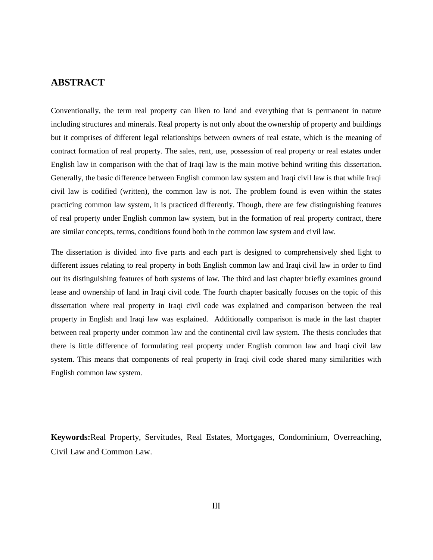#### **ABSTRACT**

Conventionally, the term real property can liken to land and everything that is permanent in nature including structures and minerals. Real property is not only about the ownership of property and buildings but it comprises of different legal relationships between owners of real estate, which is the meaning of contract formation of real property. The sales, rent, use, possession of real property or real estates under English law in comparison with the that of Iraqi law is the main motive behind writing this dissertation. Generally, the basic difference between English common law system and Iraqi civil law is that while Iraqi civil law is codified (written), the common law is not. The problem found is even within the states practicing common law system, it is practiced differently. Though, there are few distinguishing features of real property under English common law system, but in the formation of real property contract, there are similar concepts, terms, conditions found both in the common law system and civil law.

The dissertation is divided into five parts and each part is designed to comprehensively shed light to different issues relating to real property in both English common law and Iraqi civil law in order to find out its distinguishing features of both systems of law. The third and last chapter briefly examines ground lease and ownership of land in Iraqi civil code. The fourth chapter basically focuses on the topic of this dissertation where real property in Iraqi civil code was explained and comparison between the real property in English and Iraqi law was explained. Additionally comparison is made in the last chapter between real property under common law and the continental civil law system. The thesis concludes that there is little difference of formulating real property under English common law and Iraqi civil law system. This means that components of real property in Iraqi civil code shared many similarities with English common law system.

**Keywords:**Real Property, Servitudes, Real Estates, Mortgages, Condominium, Overreaching, Civil Law and Common Law.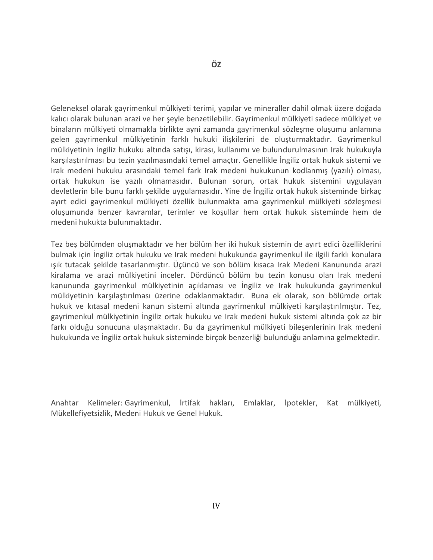Geleneksel olarak gayrimenkul mülkiyeti terimi, yapılar ve mineraller dahil olmak üzere doğada kalıcı olarak bulunan arazi ve her şeyle benzetilebilir. Gayrimenkul mülkiyeti sadece mülkiyet ve binaların mülkiyeti olmamakla birlikte ayni zamanda gayrimenkul sözleşme oluşumu anlamına gelen gayrimenkul mülkiyetinin farklı hukuki ilişkilerini de oluşturmaktadır. Gayrimenkul mülkiyetinin İngiliz hukuku altında satışı, kirası, kullanımı ve bulundurulmasının Irak hukukuyla karşılaştırılması bu tezin yazılmasındaki temel amaçtır. Genellikle İngiliz ortak hukuk sistemi ve Irak medeni hukuku arasındaki temel fark Irak medeni hukukunun kodlanmış (yazılı) olması, ortak hukukun ise yazılı olmamasıdır. Bulunan sorun, ortak hukuk sistemini uygulayan devletlerin bile bunu farklı şekilde uygulamasıdır. Yine de İngiliz ortak hukuk sisteminde birkaç ayırt edici gayrimenkul mülkiyeti özellik bulunmakta ama gayrimenkul mülkiyeti sözleşmesi oluşumunda benzer kavramlar, terimler ve koşullar hem ortak hukuk sisteminde hem de medeni hukukta bulunmaktadır.

Tez beş bölümden oluşmaktadır ve her bölüm her iki hukuk sistemin de ayırt edici özelliklerini bulmak için İngiliz ortak hukuku ve Irak medeni hukukunda gayrimenkul ile ilgili farklı konulara ışık tutacak şekilde tasarlanmıştır. Üçüncü ve son bölüm kısaca Irak Medeni Kanununda arazi kiralama ve arazi mülkiyetini inceler. Dördüncü bölüm bu tezin konusu olan Irak medeni kanununda gayrimenkul mülkiyetinin açıklaması ve İngiliz ve Irak hukukunda gayrimenkul mülkiyetinin karşılaştırılması üzerine odaklanmaktadır. Buna ek olarak, son bölümde ortak hukuk ve kıtasal medeni kanun sistemi altında gayrimenkul mülkiyeti karşılaştırılmıştır. Tez, gayrimenkul mülkiyetinin İngiliz ortak hukuku ve Irak medeni hukuk sistemi altında çok az bir farkı olduğu sonucuna ulaşmaktadır. Bu da gayrimenkul mülkiyeti bileşenlerinin Irak medeni hukukunda ve İngiliz ortak hukuk sisteminde birçok benzerliği bulunduğu anlamına gelmektedir.

Anahtar Kelimeler: Gayrimenkul, İrtifak hakları, Emlaklar, İpotekler, Kat mülkiyeti, Mükellefiyetsizlik, Medeni Hukuk ve Genel Hukuk.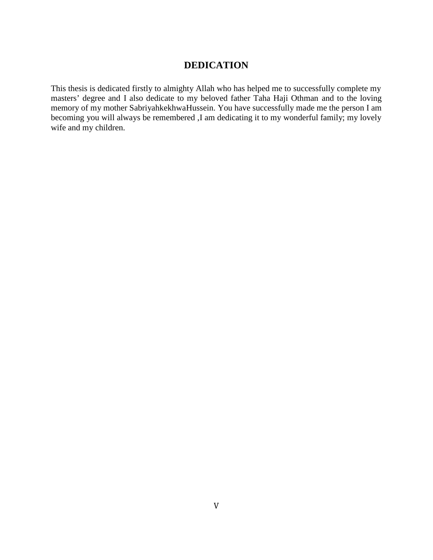## **DEDICATION**

This thesis is dedicated firstly to almighty Allah who has helped me to successfully complete my masters' degree and I also dedicate to my beloved father Taha Haji Othman and to the loving memory of my mother SabriyahkekhwaHussein. You have successfully made me the person I am becoming you will always be remembered ,I am dedicating it to my wonderful family; my lovely wife and my children.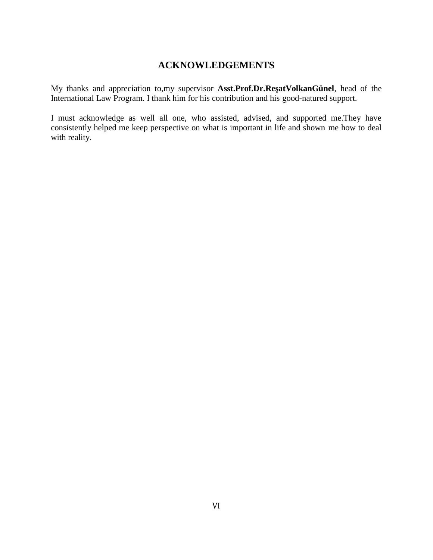## **ACKNOWLEDGEMENTS**

My thanks and appreciation to,my supervisor **Asst.Prof.Dr.Re atVolkanGünel**, head of the International Law Program. I thank him for his contribution and his good-natured support.

I must acknowledge as well all one, who assisted, advised, and supported me.They have consistently helped me keep perspective on what is important in life and shown me how to deal with reality.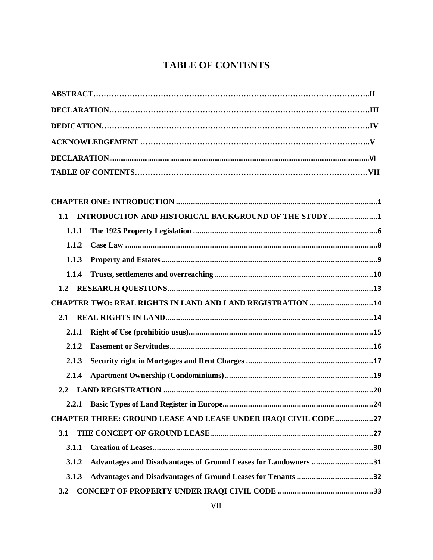## **TABLE OF CONTENTS**

| 1.1   | INTRODUCTION AND HISTORICAL BACKGROUND OF THE STUDY 1                 |  |
|-------|-----------------------------------------------------------------------|--|
| 1.1.1 |                                                                       |  |
| 1.1.2 |                                                                       |  |
| 1.1.3 |                                                                       |  |
| 1.1.4 |                                                                       |  |
| 1.2   |                                                                       |  |
|       | CHAPTER TWO: REAL RIGHTS IN LAND AND LAND REGISTRATION  14            |  |
| 2.1   |                                                                       |  |
| 2.1.1 |                                                                       |  |
| 2.1.2 |                                                                       |  |
| 2.1.3 |                                                                       |  |
| 2.1.4 |                                                                       |  |
|       |                                                                       |  |
|       |                                                                       |  |
|       | <b>CHAPTER THREE: GROUND LEASE AND LEASE UNDER IRAQI CIVIL CODE27</b> |  |
| 3.1   |                                                                       |  |
| 3.1.1 |                                                                       |  |
| 3.1.2 | Advantages and Disadvantages of Ground Leases for Landowners 31       |  |
| 3.1.3 |                                                                       |  |
| 3.2   |                                                                       |  |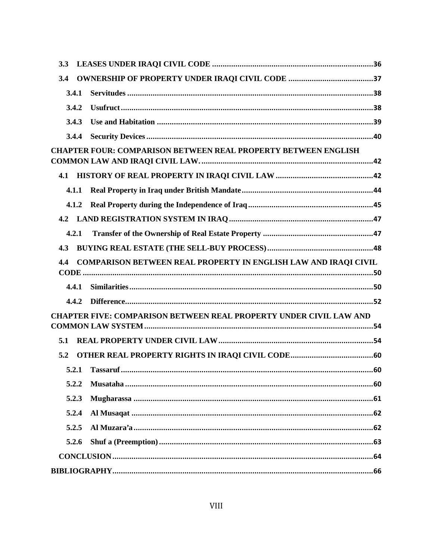| 3.4   |                                                                           |  |
|-------|---------------------------------------------------------------------------|--|
| 3.4.1 |                                                                           |  |
| 3.4.2 |                                                                           |  |
| 3.4.3 |                                                                           |  |
| 3.4.4 |                                                                           |  |
|       | <b>CHAPTER FOUR: COMPARISON BETWEEN REAL PROPERTY BETWEEN ENGLISH</b>     |  |
| 4.1   |                                                                           |  |
| 4.1.1 |                                                                           |  |
| 4.1.2 |                                                                           |  |
| 4.2   |                                                                           |  |
| 4.2.1 |                                                                           |  |
| 4.3   |                                                                           |  |
| 4.4   | COMPARISON BETWEEN REAL PROPERTY IN ENGLISH LAW AND IRAQI CIVIL           |  |
|       |                                                                           |  |
|       |                                                                           |  |
| 4.4.1 |                                                                           |  |
| 4.4.2 |                                                                           |  |
|       | <b>CHAPTER FIVE: COMPARISON BETWEEN REAL PROPERTY UNDER CIVIL LAW AND</b> |  |
| 5.1   |                                                                           |  |
| 5.2   |                                                                           |  |
|       |                                                                           |  |
| 5.2.2 |                                                                           |  |
| 5.2.3 |                                                                           |  |
| 5.2.4 |                                                                           |  |
| 5.2.5 |                                                                           |  |
| 5.2.6 |                                                                           |  |
|       |                                                                           |  |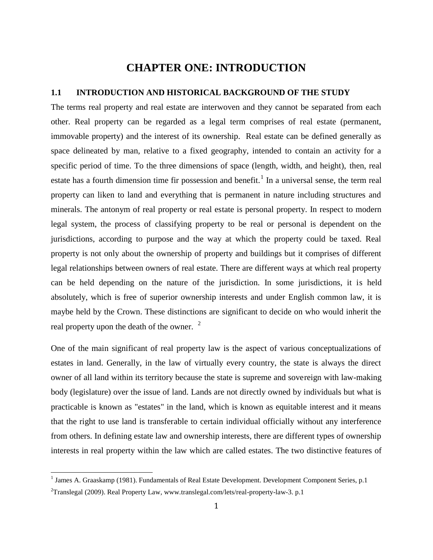## **CHAPTER ONE: INTRODUCTION**

#### **1.1 INTRODUCTION AND HISTORICAL BACKGROUND OF THE STUDY**

The terms real property and real estate are interwoven and they cannot be separated from each other. Real property can be regarded as a legal term comprises of real estate (permanent, immovable property) and the interest of its ownership. Real estate can be defined generally as space delineated by man, relative to a fixed geography, intended to contain an activity for a specific period of time. To the three dimensions of space (length, width, and height), then, real estate has a fourth dimension time fir possession and benefit.<sup>1</sup> In a universal sense, the term real property can liken to land and everything that is permanent in nature including structures and minerals. The antonym of real property or real estate is personal property. In respect to modern legal system, the process of classifying property to be real or personal is dependent on the jurisdictions, according to purpose and the way at which the property could be taxed. Real property is not only about the ownership of property and buildings but it comprises of different legal relationships between owners of real estate. There are different ways at which real property can be held depending on the nature of the jurisdiction. In some jurisdictions, it is held absolutely, which is free of superior ownership interests and under English common law, it is maybe held by the Crown. These distinctions are significant to decide on who would inherit the real property upon the death of the owner.  $2\overline{ }$ 

One of the main significant of real property law is the aspect of various conceptualizations of estates in land. Generally, in the law of virtually every country, the state is always the direct owner of all land within its territory because the state is supreme and sovereign with law-making body (legislature) over the issue of land. Lands are not directly owned by individuals but what is practicable is known as "estates" in the land, which is known as equitable interest and it means that the right to use land is transferable to certain individual officially without any interference from others. In defining estate law and ownership interests, there are different types of ownership interests in real property within the law which are called estates. The two distinctive features of

<sup>&</sup>lt;sup>1</sup> James A. Graaskamp (1981). Fundamentals of Real Estate Development. Development Component Series, p.1

 $2$ Translegal (2009). Real Property Law, www.translegal.com/lets/real-property-law-3. p.1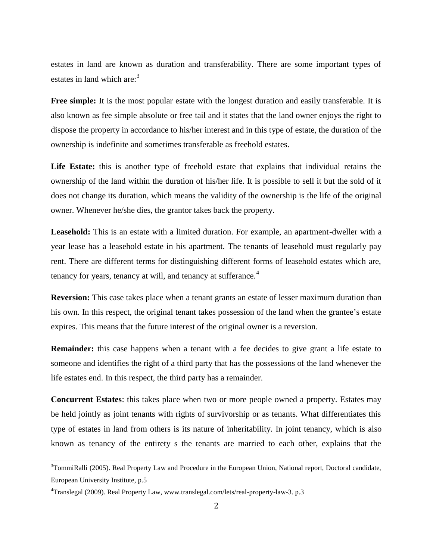estates in land are known as duration and transferability. There are some important types of estates in land which are: $3$ 

**Free simple:** It is the most popular estate with the longest duration and easily transferable. It is also known as fee simple absolute or free tail and it states that the land owner enjoys the right to dispose the property in accordance to his/her interest and in this type of estate, the duration of the ownership is indefinite and sometimes transferable as freehold estates.

**Life Estate:** this is another type of freehold estate that explains that individual retains the ownership of the land within the duration of his/her life. It is possible to sell it but the sold of it does not change its duration, which means the validity of the ownership is the life of the original owner. Whenever he/she dies, the grantor takes back the property.

**Leasehold:** This is an estate with a limited duration. For example, an apartment-dweller with a year lease has a leasehold estate in his apartment. The tenants of leasehold must regularly pay rent. There are different terms for distinguishing different forms of leasehold estates which are, tenancy for years, tenancy at will, and tenancy at sufferance.<sup>4</sup>

**Reversion:** This case takes place when a tenant grants an estate of lesser maximum duration than his own. In this respect, the original tenant takes possession of the land when the grantee's estate expires. This means that the future interest of the original owner is a reversion.

**Remainder:** this case happens when a tenant with a fee decides to give grant a life estate to someone and identifies the right of a third party that has the possessions of the land whenever the life estates end. In this respect, the third party has a remainder.

**Concurrent Estates**: this takes place when two or more people owned a property. Estates may be held jointly as joint tenants with rights of survivorship or as tenants. What differentiates this type of estates in land from others is its nature of inheritability. In joint tenancy, which is also known as tenancy of the entirety s the tenants are married to each other, explains that the

 $3$ TommiRalli (2005). Real Property Law and Procedure in the European Union, National report, Doctoral candidate, European University Institute, p.5

<sup>4</sup>Translegal (2009). Real Property Law, www.translegal.com/lets/real-property-law-3. p.3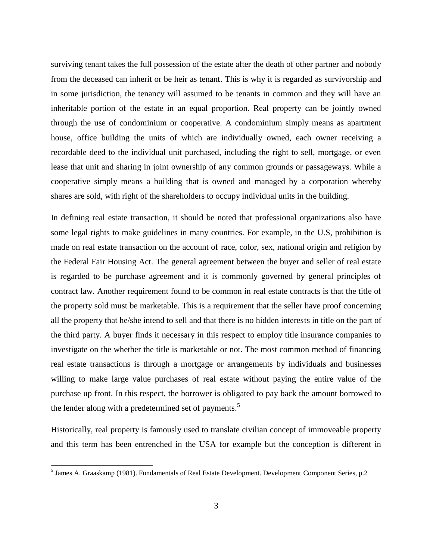surviving tenant takes the full possession of the estate after the death of other partner and nobody from the deceased can inherit or be heir as tenant. This is why it is regarded as survivorship and in some jurisdiction, the tenancy will assumed to be tenants in common and they will have an inheritable portion of the estate in an equal proportion. Real property can be jointly owned through the use of condominium or cooperative. A condominium simply means as apartment house, office building the units of which are individually owned, each owner receiving a recordable deed to the individual unit purchased, including the right to sell, mortgage, or even lease that unit and sharing in joint ownership of any common grounds or passageways. While a cooperative simply means a building that is owned and managed by a corporation whereby shares are sold, with right of the shareholders to occupy individual units in the building.

In defining real estate transaction, it should be noted that professional organizations also have some legal rights to make guidelines in many countries. For example, in the U.S, prohibition is made on real estate transaction on the account of race, color, sex, national origin and religion by the Federal Fair Housing Act. The general agreement between the buyer and seller of real estate is regarded to be purchase agreement and it is commonly governed by general principles of contract law. Another requirement found to be common in real estate contracts is that the title of the property sold must be marketable. This is a requirement that the seller have proof concerning all the property that he/she intend to sell and that there is no hidden interests in title on the part of the third party. A buyer finds it necessary in this respect to employ title insurance companies to investigate on the whether the title is marketable or not. The most common method of financing real estate transactions is through a mortgage or arrangements by individuals and businesses willing to make large value purchases of real estate without paying the entire value of the purchase up front. In this respect, the borrower is obligated to pay back the amount borrowed to the lender along with a predetermined set of payments.<sup>5</sup>

Historically, real property is famously used to translate civilian concept of immoveable property and this term has been entrenched in the USA for example but the conception is different in

<sup>5</sup> James A. Graaskamp (1981). Fundamentals of Real Estate Development. Development Component Series, p.2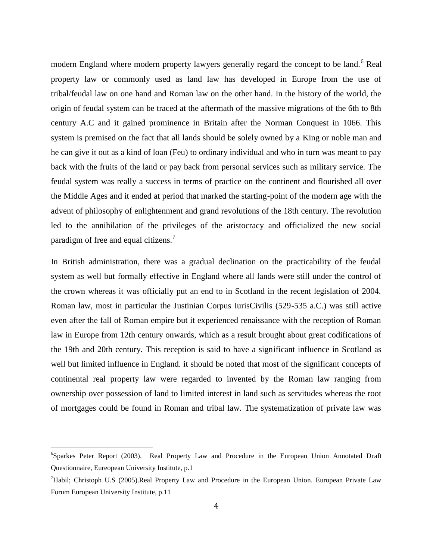modern England where modern property lawyers generally regard the concept to be land.<sup>6</sup> Real property law or commonly used as land law has developed in Europe from the use of tribal/feudal law on one hand and Roman law on the other hand. In the history of the world, the origin of feudal system can be traced at the aftermath of the massive migrations of the 6th to 8th century A.C and it gained prominence in Britain after the Norman Conquest in 1066. This system is premised on the fact that all lands should be solely owned by a King or noble man and he can give it out as a kind of loan (Feu) to ordinary individual and who in turn was meant to pay back with the fruits of the land or pay back from personal services such as military service. The feudal system was really a success in terms of practice on the continent and flourished all over the Middle Ages and it ended at period that marked the starting-point of the modern age with the advent of philosophy of enlightenment and grand revolutions of the 18th century. The revolution led to the annihilation of the privileges of the aristocracy and officialized the new social paradigm of free and equal citizens.<sup>7</sup>

In British administration, there was a gradual declination on the practicability of the feudal system as well but formally effective in England where all lands were still under the control of the crown whereas it was officially put an end to in Scotland in the recent legislation of 2004. Roman law, most in particular the Justinian Corpus IurisCivilis (529-535 a.C.) was still active even after the fall of Roman empire but it experienced renaissance with the reception of Roman law in Europe from 12th century onwards, which as a result brought about great codifications of the 19th and 20th century. This reception is said to have a significant influence in Scotland as well but limited influence in England. it should be noted that most of the significant concepts of continental real property law were regarded to invented by the Roman law ranging from ownership over possession of land to limited interest in land such as servitudes whereas the root of mortgages could be found in Roman and tribal law. The systematization of private law was

<sup>6</sup>Sparkes Peter Report (2003). Real Property Law and Procedure in the European Union Annotated Draft Questionnaire, Eureopean University Institute, p.1

<sup>7</sup>Habil; Christoph U.S (2005).Real Property Law and Procedure in the European Union. European Private Law Forum European University Institute, p.11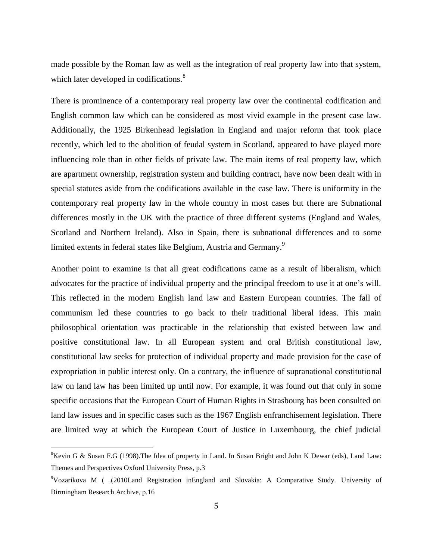made possible by the Roman law as well as the integration of real property law into that system, which later developed in codifications.<sup>8</sup>

There is prominence of a contemporary real property law over the continental codification and English common law which can be considered as most vivid example in the present case law. Additionally, the 1925 Birkenhead legislation in England and major reform that took place recently, which led to the abolition of feudal system in Scotland, appeared to have played more influencing role than in other fields of private law. The main items of real property law, which are apartment ownership, registration system and building contract, have now been dealt with in special statutes aside from the codifications available in the case law. There is uniformity in the contemporary real property law in the whole country in most cases but there are Subnational differences mostly in the UK with the practice of three different systems (England and Wales, Scotland and Northern Ireland). Also in Spain, there is subnational differences and to some limited extents in federal states like Belgium, Austria and Germany.<sup>9</sup>

Another point to examine is that all great codifications came as a result of liberalism, which advocates for the practice of individual property and the principal freedom to use it at one's will. This reflected in the modern English land law and Eastern European countries. The fall of communism led these countries to go back to their traditional liberal ideas. This main philosophical orientation was practicable in the relationship that existed between law and positive constitutional law. In all European system and oral British constitutional law, constitutional law seeks for protection of individual property and made provision for the case of expropriation in public interest only. On a contrary, the influence of supranational constitutional law on land law has been limited up until now. For example, it was found out that only in some specific occasions that the European Court of Human Rights in Strasbourg has been consulted on land law issues and in specific cases such as the 1967 English enfranchisement legislation. There are limited way at which the European Court of Justice in Luxembourg, the chief judicial

<sup>&</sup>lt;sup>8</sup>Kevin G & Susan F.G (1998). The Idea of property in Land. In Susan Bright and John K Dewar (eds), Land Law: Themes and Perspectives Oxford University Press, p.3

<sup>9</sup>Vozarikova M ( .(2010Land Registration inEngland and Slovakia: A Comparative Study. University of Birmingham Research Archive, p.16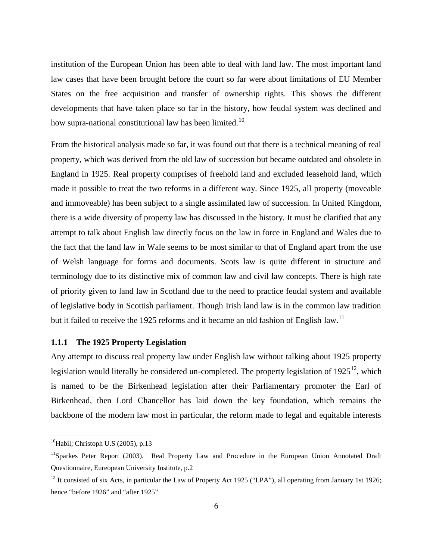institution of the European Union has been able to deal with land law. The most important land law cases that have been brought before the court so far were about limitations of EU Member States on the free acquisition and transfer of ownership rights. This shows the different developments that have taken place so far in the history, how feudal system was declined and how supra-national constitutional law has been limited.<sup>10</sup>

From the historical analysis made so far, it was found out that there is a technical meaning of real property, which was derived from the old law of succession but became outdated and obsolete in England in 1925. Real property comprises of freehold land and excluded leasehold land, which made it possible to treat the two reforms in a different way. Since 1925, all property (moveable and immoveable) has been subject to a single assimilated law of succession. In United Kingdom, there is a wide diversity of property law has discussed in the history. It must be clarified that any attempt to talk about English law directly focus on the law in force in England and Wales due to the fact that the land law in Wale seems to be most similar to that of England apart from the use of Welsh language for forms and documents. Scots law is quite different in structure and terminology due to its distinctive mix of common law and civil law concepts. There is high rate of priority given to land law in Scotland due to the need to practice feudal system and available of legislative body in Scottish parliament. Though Irish land law is in the common law tradition but it failed to receive the 1925 reforms and it became an old fashion of English law.<sup>11</sup>

#### **1.1.1 The 1925 Property Legislation**

Any attempt to discuss real property law under English law without talking about 1925 property legislation would literally be considered un-completed. The property legislation of  $1925^{12}$ , which is named to be the Birkenhead legislation after their Parliamentary promoter the Earl of Birkenhead, then Lord Chancellor has laid down the key foundation, which remains the backbone of the modern law most in particular, the reform made to legal and equitable interests

 $^{10}$ Habil; Christoph U.S (2005), p.13

<sup>&</sup>lt;sup>11</sup>Sparkes Peter Report (2003). Real Property Law and Procedure in the European Union Annotated Draft Questionnaire, Eureopean University Institute, p.2

 $12$  It consisted of six Acts, in particular the Law of Property Act 1925 ("LPA"), all operating from January 1st 1926; hence "before 1926" and "after 1925"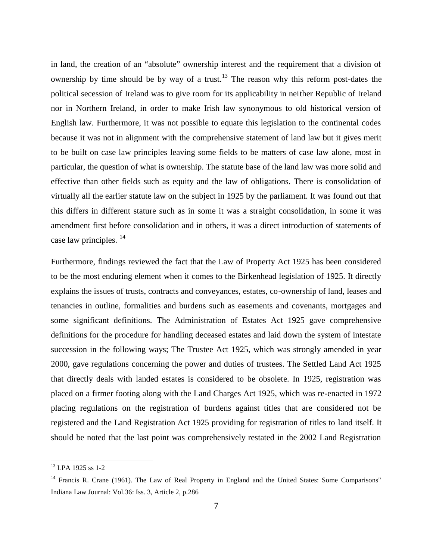in land, the creation of an "absolute" ownership interest and the requirement that a division of ownership by time should be by way of a trust.<sup>13</sup> The reason why this reform post-dates the political secession of Ireland was to give room for its applicability in neither Republic of Ireland nor in Northern Ireland, in order to make Irish law synonymous to old historical version of English law. Furthermore, it was not possible to equate this legislation to the continental codes because it was not in alignment with the comprehensive statement of land law but it gives merit to be built on case law principles leaving some fields to be matters of case law alone, most in particular, the question of what is ownership. The statute base of the land law was more solid and effective than other fields such as equity and the law of obligations. There is consolidation of virtually all the earlier statute law on the subject in 1925 by the parliament. It was found out that this differs in different stature such as in some it was a straight consolidation, in some it was amendment first before consolidation and in others, it was a direct introduction of statements of case law principles.<sup>14</sup>

Furthermore, findings reviewed the fact that the Law of Property Act 1925 has been considered to be the most enduring element when it comes to the Birkenhead legislation of 1925. It directly explains the issues of trusts, contracts and conveyances, estates, co-ownership of land, leases and tenancies in outline, formalities and burdens such as easements and covenants, mortgages and some significant definitions. The Administration of Estates Act 1925 gave comprehensive definitions for the procedure for handling deceased estates and laid down the system of intestate succession in the following ways; The Trustee Act 1925, which was strongly amended in year 2000, gave regulations concerning the power and duties of trustees. The Settled Land Act 1925 that directly deals with landed estates is considered to be obsolete. In 1925, registration was placed on a firmer footing along with the Land Charges Act 1925, which was re-enacted in 1972 placing regulations on the registration of burdens against titles that are considered not be registered and the Land Registration Act 1925 providing for registration of titles to land itself. It should be noted that the last point was comprehensively restated in the 2002 Land Registration

<sup>13</sup> LPA 1925 ss 1-2

<sup>&</sup>lt;sup>14</sup> Francis R. Crane (1961). The Law of Real Property in England and the United States: Some Comparisons" Indiana Law Journal: Vol.36: Iss. 3, Article 2, p.286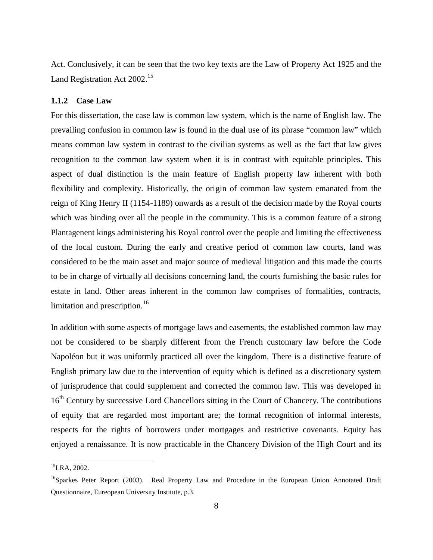Act. Conclusively, it can be seen that the two key texts are the Law of Property Act 1925 and the Land Registration Act 2002.<sup>15</sup>

#### **1.1.2 Case Law**

For this dissertation, the case law is common law system, which is the name of English law. The prevailing confusion in common law is found in the dual use of its phrase "common law" which means common law system in contrast to the civilian systems as well as the fact that law gives recognition to the common law system when it is in contrast with equitable principles. This aspect of dual distinction is the main feature of English property law inherent with both flexibility and complexity. Historically, the origin of common law system emanated from the reign of King Henry II (1154-1189) onwards as a result of the decision made by the Royal courts which was binding over all the people in the community. This is a common feature of a strong Plantagenent kings administering his Royal control over the people and limiting the effectiveness of the local custom. During the early and creative period of common law courts, land was considered to be the main asset and major source of medieval litigation and this made the courts to be in charge of virtually all decisions concerning land, the courts furnishing the basic rules for estate in land. Other areas inherent in the common law comprises of formalities, contracts, limitation and prescription. $16$ 

In addition with some aspects of mortgage laws and easements, the established common law may not be considered to be sharply different from the French customary law before the Code Napoléon but it was uniformly practiced all over the kingdom. There is a distinctive feature of English primary law due to the intervention of equity which is defined as a discretionary system of jurisprudence that could supplement and corrected the common law. This was developed in 16<sup>th</sup> Century by successive Lord Chancellors sitting in the Court of Chancery. The contributions of equity that are regarded most important are; the formal recognition of informal interests, respects for the rights of borrowers under mortgages and restrictive covenants. Equity has enjoyed a renaissance. It is now practicable in the Chancery Division of the High Court and its

<sup>15</sup>LRA, 2002.

<sup>&</sup>lt;sup>16</sup>Sparkes Peter Report (2003). Real Property Law and Procedure in the European Union Annotated Draft Questionnaire, Eureopean University Institute, p.3.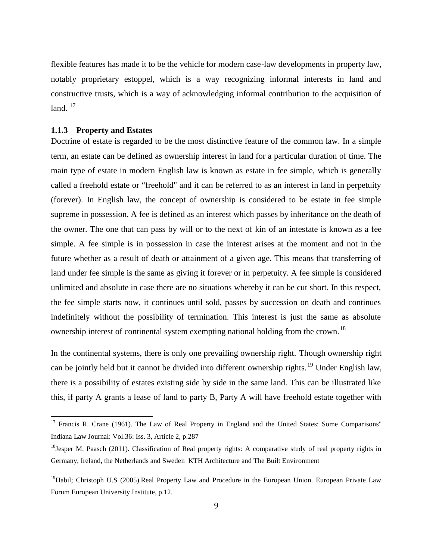flexible features has made it to be the vehicle for modern case-law developments in property law, notably proprietary estoppel, which is a way recognizing informal interests in land and constructive trusts, which is a way of acknowledging informal contribution to the acquisition of land.  $17$ 

#### **1.1.3 Property and Estates**

Doctrine of estate is regarded to be the most distinctive feature of the common law. In a simple term, an estate can be defined as ownership interest in land for a particular duration of time. The main type of estate in modern English law is known as estate in fee simple, which is generally called a freehold estate or "freehold" and it can be referred to as an interest in land in perpetuity (forever). In English law, the concept of ownership is considered to be estate in fee simple supreme in possession. A fee is defined as an interest which passes by inheritance on the death of the owner. The one that can pass by will or to the next of kin of an intestate is known as a fee simple. A fee simple is in possession in case the interest arises at the moment and not in the future whether as a result of death or attainment of a given age. This means that transferring of land under fee simple is the same as giving it forever or in perpetuity. A fee simple is considered unlimited and absolute in case there are no situations whereby it can be cut short. In this respect, the fee simple starts now, it continues until sold, passes by succession on death and continues indefinitely without the possibility of termination. This interest is just the same as absolute ownership interest of continental system exempting national holding from the crown.<sup>18</sup>

In the continental systems, there is only one prevailing ownership right. Though ownership right can be jointly held but it cannot be divided into different ownership rights.<sup>19</sup> Under English law, there is a possibility of estates existing side by side in the same land. This can be illustrated like this, if party A grants a lease of land to party B, Party A will have freehold estate together with

<sup>&</sup>lt;sup>17</sup> Francis R. Crane (1961). The Law of Real Property in England and the United States: Some Comparisons" Indiana Law Journal: Vol.36: Iss. 3, Article 2, p.287

 $18$ Jesper M. Paasch (2011). Classification of Real property rights: A comparative study of real property rights in Germany, Ireland, the Netherlands and Sweden KTH Architecture and The Built Environment

<sup>&</sup>lt;sup>19</sup>Habil; Christoph U.S (2005).Real Property Law and Procedure in the European Union. European Private Law Forum European University Institute, p.12.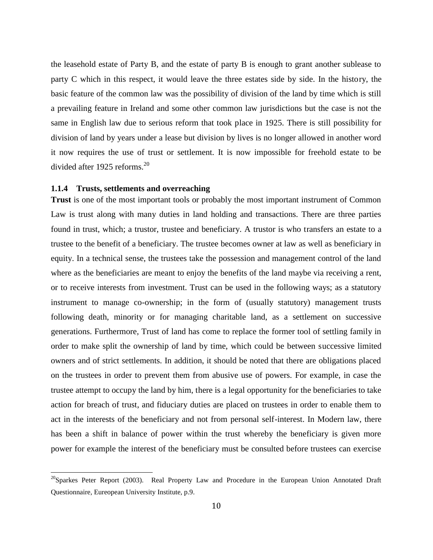the leasehold estate of Party B, and the estate of party B is enough to grant another sublease to party C which in this respect, it would leave the three estates side by side. In the history, the basic feature of the common law was the possibility of division of the land by time which is still a prevailing feature in Ireland and some other common law jurisdictions but the case is not the same in English law due to serious reform that took place in 1925. There is still possibility for division of land by years under a lease but division by lives is no longer allowed in another word it now requires the use of trust or settlement. It is now impossible for freehold estate to be divided after 1925 reforms. $^{20}$ 

#### **1.1.4 Trusts, settlements and overreaching**

**Trust** is one of the most important tools or probably the most important instrument of Common Law is trust along with many duties in land holding and transactions. There are three parties found in trust, which; a trustor, trustee and beneficiary. A trustor is who transfers an estate to a trustee to the benefit of a beneficiary. The trustee becomes owner at law as well as beneficiary in equity. In a technical sense, the trustees take the possession and management control of the land where as the beneficiaries are meant to enjoy the benefits of the land maybe via receiving a rent, or to receive interests from investment. Trust can be used in the following ways; as a statutory instrument to manage co-ownership; in the form of (usually statutory) management trusts following death, minority or for managing charitable land, as a settlement on successive generations. Furthermore, Trust of land has come to replace the former tool of settling family in order to make split the ownership of land by time, which could be between successive limited owners and of strict settlements. In addition, it should be noted that there are obligations placed on the trustees in order to prevent them from abusive use of powers. For example, in case the trustee attempt to occupy the land by him, there is a legal opportunity for the beneficiaries to take action for breach of trust, and fiduciary duties are placed on trustees in order to enable them to act in the interests of the beneficiary and not from personal self-interest. In Modern law, there has been a shift in balance of power within the trust whereby the beneficiary is given more power for example the interest of the beneficiary must be consulted before trustees can exercise

 $^{20}$ Sparkes Peter Report (2003). Real Property Law and Procedure in the European Union Annotated Draft Questionnaire, Eureopean University Institute, p.9.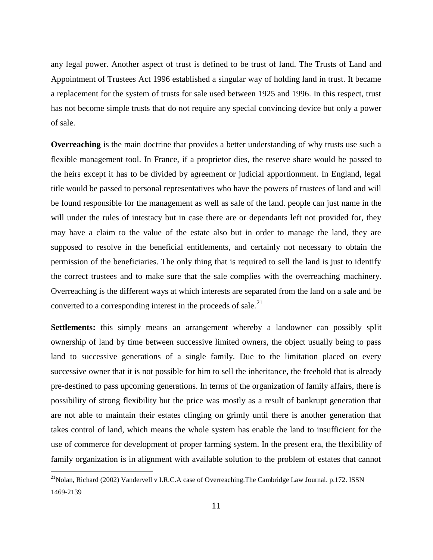any legal power. Another aspect of trust is defined to be trust of land. The Trusts of Land and Appointment of Trustees Act 1996 established a singular way of holding land in trust. It became a replacement for the system of trusts for sale used between 1925 and 1996. In this respect, trust has not become simple trusts that do not require any special convincing device but only a power of sale.

**Overreaching** is the main doctrine that provides a better understanding of why trusts use such a flexible management tool. In France, if a proprietor dies, the reserve share would be passed to the heirs except it has to be divided by agreement or judicial apportionment. In England, legal title would be passed to personal representatives who have the powers of trustees of land and will be found responsible for the management as well as sale of the land. people can just name in the will under the rules of intestacy but in case there are or dependants left not provided for, they may have a claim to the value of the estate also but in order to manage the land, they are supposed to resolve in the beneficial entitlements, and certainly not necessary to obtain the permission of the beneficiaries. The only thing that is required to sell the land is just to identify the correct trustees and to make sure that the sale complies with the overreaching machinery. Overreaching is the different ways at which interests are separated from the land on a sale and be converted to a corresponding interest in the proceeds of sale.<sup>21</sup>

**Settlements:** this simply means an arrangement whereby a landowner can possibly split ownership of land by time between successive limited owners, the object usually being to pass land to successive generations of a single family. Due to the limitation placed on every successive owner that it is not possible for him to sell the inheritance, the freehold that is already pre-destined to pass upcoming generations. In terms of the organization of family affairs, there is possibility of strong flexibility but the price was mostly as a result of bankrupt generation that are not able to maintain their estates clinging on grimly until there is another generation that takes control of land, which means the whole system has enable the land to insufficient for the use of commerce for development of proper farming system. In the present era, the flexibility of family organization is in alignment with available solution to the problem of estates that cannot

<sup>&</sup>lt;sup>21</sup>Nolan, Richard (2002) Vandervell v I.R.C.A case of Overreaching. The Cambridge Law Journal. p.172. ISSN 1469-2139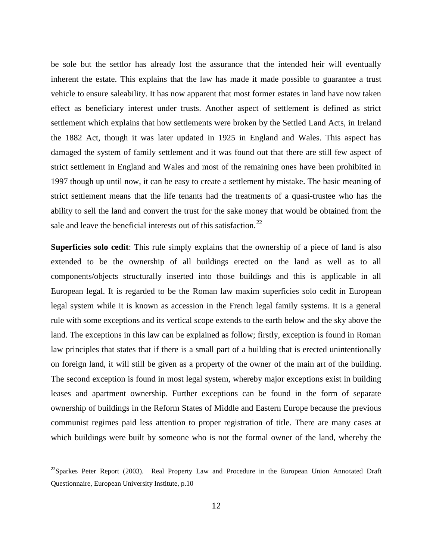be sole but the settlor has already lost the assurance that the intended heir will eventually inherent the estate. This explains that the law has made it made possible to guarantee a trust vehicle to ensure saleability. It has now apparent that most former estates in land have now taken effect as beneficiary interest under trusts. Another aspect of settlement is defined as strict settlement which explains that how settlements were broken by the Settled Land Acts, in Ireland the 1882 Act, though it was later updated in 1925 in England and Wales. This aspect has damaged the system of family settlement and it was found out that there are still few aspect of strict settlement in England and Wales and most of the remaining ones have been prohibited in 1997 though up until now, it can be easy to create a settlement by mistake. The basic meaning of strict settlement means that the life tenants had the treatments of a quasi-trustee who has the ability to sell the land and convert the trust for the sake money that would be obtained from the sale and leave the beneficial interests out of this satisfaction.<sup>22</sup>

**Superficies solo cedit**: This rule simply explains that the ownership of a piece of land is also extended to be the ownership of all buildings erected on the land as well as to all components/objects structurally inserted into those buildings and this is applicable in all European legal. It is regarded to be the Roman law maxim superficies solo cedit in European legal system while it is known as accession in the French legal family systems. It is a general rule with some exceptions and its vertical scope extends to the earth below and the sky above the land. The exceptions in this law can be explained as follow; firstly, exception is found in Roman law principles that states that if there is a small part of a building that is erected unintentionally on foreign land, it will still be given as a property of the owner of the main art of the building. The second exception is found in most legal system, whereby major exceptions exist in building leases and apartment ownership. Further exceptions can be found in the form of separate ownership of buildings in the Reform States of Middle and Eastern Europe because the previous communist regimes paid less attention to proper registration of title. There are many cases at which buildings were built by someone who is not the formal owner of the land, whereby the

<sup>&</sup>lt;sup>22</sup>Sparkes Peter Report (2003). Real Property Law and Procedure in the European Union Annotated Draft Questionnaire, European University Institute, p.10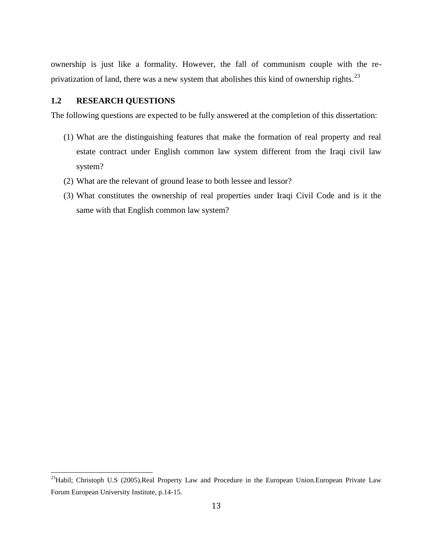ownership is just like a formality. However, the fall of communism couple with the re privatization of land, there was a new system that abolishes this kind of ownership rights.<sup>23</sup>

#### **1.2 RESEARCH QUESTIONS**

The following questions are expected to be fully answered at the completion of this dissertation:

- (1) What are the distinguishing features that make the formation of real property and real estate contract under English common law system different from the Iraqi civil law system?
- (2) What are the relevant of ground lease to both lessee and lessor?
- (3) What constitutes the ownership of real properties under Iraqi Civil Code and is it the same with that English common law system?

<sup>&</sup>lt;sup>23</sup>Habil; Christoph U.S (2005).Real Property Law and Procedure in the European Union.European Private Law Forum European University Institute, p.14-15.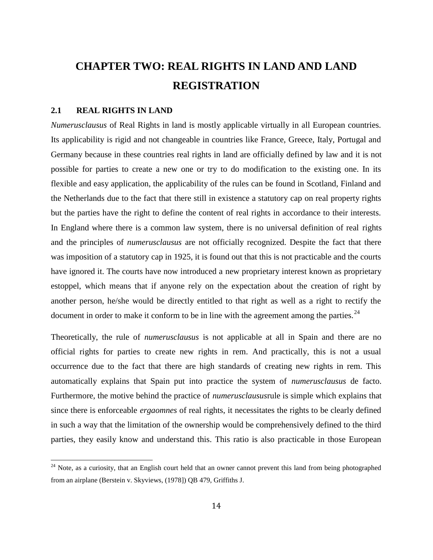# **CHAPTER TWO: REAL RIGHTS IN LAND AND LAND REGISTRATION**

#### **2.1 REAL RIGHTS IN LAND**

*Numerusclausus* of Real Rights in land is mostly applicable virtually in all European countries. Its applicability is rigid and not changeable in countries like France, Greece, Italy, Portugal and Germany because in these countries real rights in land are officially defined by law and it is not possible for parties to create a new one or try to do modification to the existing one. In its flexible and easy application, the applicability of the rules can be found in Scotland, Finland and the Netherlands due to the fact that there still in existence a statutory cap on real property rights but the parties have the right to define the content of real rights in accordance to their interests. In England where there is a common law system, there is no universal definition of real rights and the principles of *numerusclausus* are not officially recognized. Despite the fact that there was imposition of a statutory cap in 1925, it is found out that this is not practicable and the courts have ignored it. The courts have now introduced a new proprietary interest known as proprietary estoppel, which means that if anyone rely on the expectation about the creation of right by another person, he/she would be directly entitled to that right as well as a right to rectify the document in order to make it conform to be in line with the agreement among the parties.  $^{24}$ 

Theoretically, the rule of *numerusclausus* is not applicable at all in Spain and there are no official rights for parties to create new rights in rem. And practically, this is not a usual occurrence due to the fact that there are high standards of creating new rights in rem. This automatically explains that Spain put into practice the system of *numerusclausus* de facto. Furthermore, the motive behind the practice of *numerusclausus*rule is simple which explains that since there is enforceable *ergaomnes* of real rights, it necessitates the rights to be clearly defined in such a way that the limitation of the ownership would be comprehensively defined to the third parties, they easily know and understand this. This ratio is also practicable in those European

<sup>&</sup>lt;sup>24</sup> Note, as a curiosity, that an English court held that an owner cannot prevent this land from being photographed from an airplane (Berstein v. Skyviews, (1978]) QB 479, Griffiths J.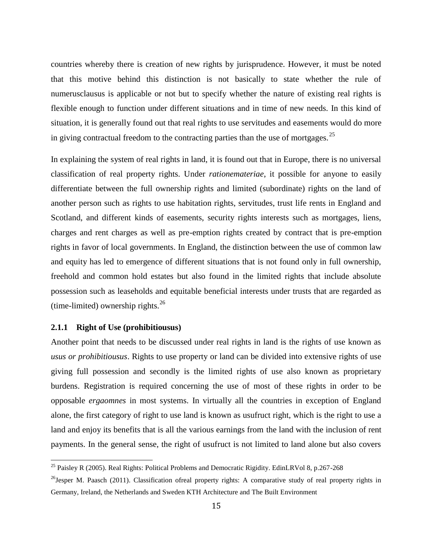countries whereby there is creation of new rights by jurisprudence. However, it must be noted that this motive behind this distinction is not basically to state whether the rule of numerusclausus is applicable or not but to specify whether the nature of existing real rights is flexible enough to function under different situations and in time of new needs. In this kind of situation, it is generally found out that real rights to use servitudes and easements would do more in giving contractual freedom to the contracting parties than the use of mortgages.  $2^5$ 

In explaining the system of real rights in land, it is found out that in Europe, there is no universal classification of real property rights. Under *rationemateriae*, it possible for anyone to easily differentiate between the full ownership rights and limited (subordinate) rights on the land of another person such as rights to use habitation rights, servitudes, trust life rents in England and Scotland, and different kinds of easements, security rights interests such as mortgages, liens, charges and rent charges as well as pre-emption rights created by contract that is pre-emption rights in favor of local governments. In England, the distinction between the use of common law and equity has led to emergence of different situations that is not found only in full ownership, freehold and common hold estates but also found in the limited rights that include absolute possession such as leaseholds and equitable beneficial interests under trusts that are regarded as (time-limited) ownership rights. $^{26}$ 

#### **2.1.1 Right of Use (prohibitiousus)**

Another point that needs to be discussed under real rights in land is the rights of use known as *usus or prohibitiousus*. Rights to use property or land can be divided into extensive rights of use giving full possession and secondly is the limited rights of use also known as proprietary burdens. Registration is required concerning the use of most of these rights in order to be opposable *ergaomnes* in most systems. In virtually all the countries in exception of England alone, the first category of right to use land is known as usufruct right, which is the right to use a land and enjoy its benefits that is all the various earnings from the land with the inclusion of rent payments. In the general sense, the right of usufruct is not limited to land alone but also covers

<sup>&</sup>lt;sup>25</sup> Paisley R (2005). Real Rights: Political Problems and Democratic Rigidity. EdinLRVol 8, p.267-268

<sup>&</sup>lt;sup>26</sup>Jesper M. Paasch (2011). Classification ofreal property rights: A comparative study of real property rights in Germany, Ireland, the Netherlands and Sweden KTH Architecture and The Built Environment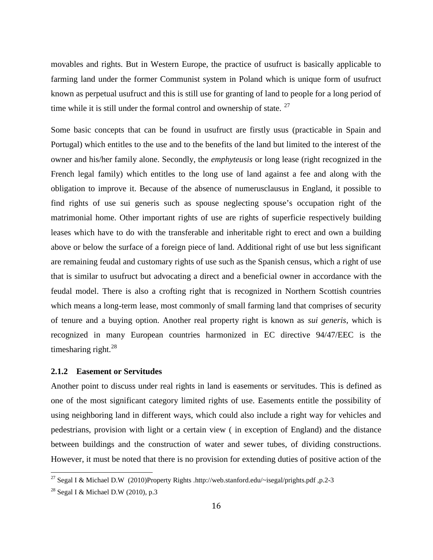movables and rights. But in Western Europe, the practice of usufruct is basically applicable to farming land under the former Communist system in Poland which is unique form of usufruct known as perpetual usufruct and this is still use for granting of land to people for a long period of time while it is still under the formal control and ownership of state. <sup>27</sup>

Some basic concepts that can be found in usufruct are firstly usus (practicable in Spain and Portugal) which entitles to the use and to the benefits of the land but limited to the interest of the owner and his/her family alone. Secondly, the *emphyteusis* or long lease (right recognized in the French legal family) which entitles to the long use of land against a fee and along with the obligation to improve it. Because of the absence of numerusclausus in England, it possible to find rights of use sui generis such as spouse neglecting spouse's occupation right of the matrimonial home. Other important rights of use are rights of superficie respectively building leases which have to do with the transferable and inheritable right to erect and own a building above or below the surface of a foreign piece of land. Additional right of use but less significant are remaining feudal and customary rights of use such as the Spanish census, which a right of use that is similar to usufruct but advocating a direct and a beneficial owner in accordance with the feudal model. There is also a crofting right that is recognized in Northern Scottish countries which means a long-term lease, most commonly of small farming land that comprises of security of tenure and a buying option. Another real property right is known as *sui generis*, which is recognized in many European countries harmonized in EC directive 94/47/EEC is the timesharing right. $^{28}$ 

#### **2.1.2 Easement or Servitudes**

Another point to discuss under real rights in land is easements or servitudes. This is defined as one of the most significant category limited rights of use. Easements entitle the possibility of using neighboring land in different ways, which could also include a right way for vehicles and pedestrians, provision with light or a certain view ( in exception of England) and the distance between buildings and the construction of water and sewer tubes, of dividing constructions. However, it must be noted that there is no provision for extending duties of positive action of the

<sup>&</sup>lt;sup>27</sup> Segal I & Michael D.W (2010)Property Rights .http://web.stanford.edu/~isegal/prights.pdf ,p.2-3

<sup>&</sup>lt;sup>28</sup> Segal I & Michael D.W (2010), p.3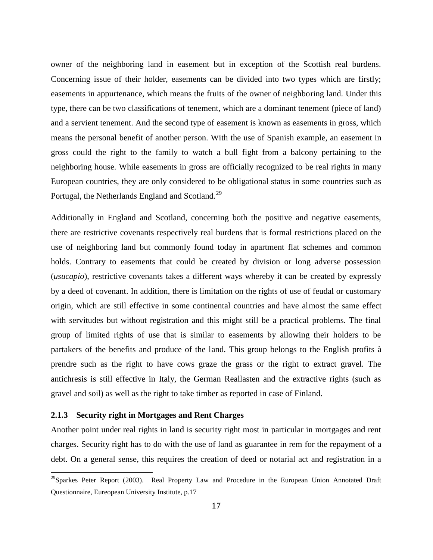owner of the neighboring land in easement but in exception of the Scottish real burdens. Concerning issue of their holder, easements can be divided into two types which are firstly; easements in appurtenance, which means the fruits of the owner of neighboring land. Under this type, there can be two classifications of tenement, which are a dominant tenement (piece of land) and a servient tenement. And the second type of easement is known as easements in gross, which means the personal benefit of another person. With the use of Spanish example, an easement in gross could the right to the family to watch a bull fight from a balcony pertaining to the neighboring house. While easements in gross are officially recognized to be real rights in many European countries, they are only considered to be obligational status in some countries such as Portugal, the Netherlands England and Scotland.<sup>29</sup>

Additionally in England and Scotland, concerning both the positive and negative easements, there are restrictive covenants respectively real burdens that is formal restrictions placed on the use of neighboring land but commonly found today in apartment flat schemes and common holds. Contrary to easements that could be created by division or long adverse possession (*usucapio*), restrictive covenants takes a different ways whereby it can be created by expressly by a deed of covenant. In addition, there is limitation on the rights of use of feudal or customary origin, which are still effective in some continental countries and have almost the same effect with servitudes but without registration and this might still be a practical problems. The final group of limited rights of use that is similar to easements by allowing their holders to be partakers of the benefits and produce of the land. This group belongs to the English profits à prendre such as the right to have cows graze the grass or the right to extract gravel. The antichresis is still effective in Italy, the German Reallasten and the extractive rights (such as gravel and soil) as well as the right to take timber as reported in case of Finland.

#### **2.1.3 Security right in Mortgages and Rent Charges**

Another point under real rights in land is security right most in particular in mortgages and rent charges. Security right has to do with the use of land as guarantee in rem for the repayment of a debt. On a general sense, this requires the creation of deed or notarial act and registration in a

 $^{29}$ Sparkes Peter Report (2003). Real Property Law and Procedure in the European Union Annotated Draft Questionnaire, Eureopean University Institute, p.17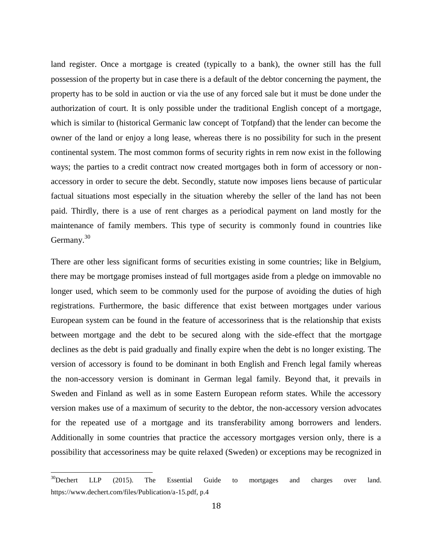land register. Once a mortgage is created (typically to a bank), the owner still has the full possession of the property but in case there is a default of the debtor concerning the payment, the property has to be sold in auction or via the use of any forced sale but it must be done under the authorization of court. It is only possible under the traditional English concept of a mortgage, which is similar to (historical Germanic law concept of Totpfand) that the lender can become the owner of the land or enjoy a long lease, whereas there is no possibility for such in the present continental system. The most common forms of security rights in rem now exist in the following ways; the parties to a credit contract now created mortgages both in form of accessory or non accessory in order to secure the debt. Secondly, statute now imposes liens because of particular factual situations most especially in the situation whereby the seller of the land has not been paid. Thirdly, there is a use of rent charges as a periodical payment on land mostly for the maintenance of family members. This type of security is commonly found in countries like Germany.<sup>30</sup>

There are other less significant forms of securities existing in some countries; like in Belgium, there may be mortgage promises instead of full mortgages aside from a pledge on immovable no longer used, which seem to be commonly used for the purpose of avoiding the duties of high registrations. Furthermore, the basic difference that exist between mortgages under various European system can be found in the feature of accessoriness that is the relationship that exists between mortgage and the debt to be secured along with the side-effect that the mortgage declines as the debt is paid gradually and finally expire when the debt is no longer existing. The version of accessory is found to be dominant in both English and French legal family whereas the non-accessory version is dominant in German legal family. Beyond that, it prevails in Sweden and Finland as well as in some Eastern European reform states. While the accessory version makes use of a maximum of security to the debtor, the non-accessory version advocates for the repeated use of a mortgage and its transferability among borrowers and lenders. Additionally in some countries that practice the accessory mortgages version only, there is a possibility that accessoriness may be quite relaxed (Sweden) or exceptions may be recognized in

 $30$ Dechert LLP (2015). The Essential Guide to mortgages and charges over land. https://www.dechert.com/files/Publication/a-15.pdf, p.4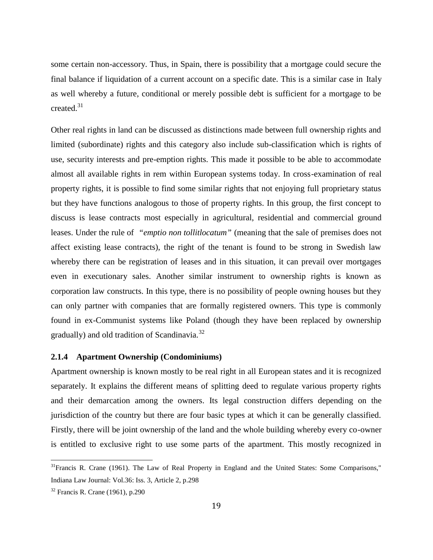some certain non-accessory. Thus, in Spain, there is possibility that a mortgage could secure the final balance if liquidation of a current account on a specific date. This is a similar case in Italy as well whereby a future, conditional or merely possible debt is sufficient for a mortgage to be created.<sup>31</sup>

Other real rights in land can be discussed as distinctions made between full ownership rights and limited (subordinate) rights and this category also include sub-classification which is rights of use, security interests and pre-emption rights. This made it possible to be able to accommodate almost all available rights in rem within European systems today. In cross-examination of real property rights, it is possible to find some similar rights that not enjoying full proprietary status but they have functions analogous to those of property rights. In this group, the first concept to discuss is lease contracts most especially in agricultural, residential and commercial ground leases. Under the rule of *"emptio non tollitlocatum"* (meaning that the sale of premises does not affect existing lease contracts), the right of the tenant is found to be strong in Swedish law whereby there can be registration of leases and in this situation, it can prevail over mortgages even in executionary sales. Another similar instrument to ownership rights is known as corporation law constructs. In this type, there is no possibility of people owning houses but they can only partner with companies that are formally registered owners. This type is commonly found in ex-Communist systems like Poland (though they have been replaced by ownership gradually) and old tradition of Scandinavia.<sup>32</sup>

#### **2.1.4 Apartment Ownership (Condominiums)**

Apartment ownership is known mostly to be real right in all European states and it is recognized separately. It explains the different means of splitting deed to regulate various property rights and their demarcation among the owners. Its legal construction differs depending on the jurisdiction of the country but there are four basic types at which it can be generally classified. Firstly, there will be joint ownership of the land and the whole building whereby every co-owner is entitled to exclusive right to use some parts of the apartment. This mostly recognized in

 $31$ Francis R. Crane (1961). The Law of Real Property in England and the United States: Some Comparisons," Indiana Law Journal: Vol.36: Iss. 3, Article 2, p.298

 $32$  Francis R. Crane (1961), p.290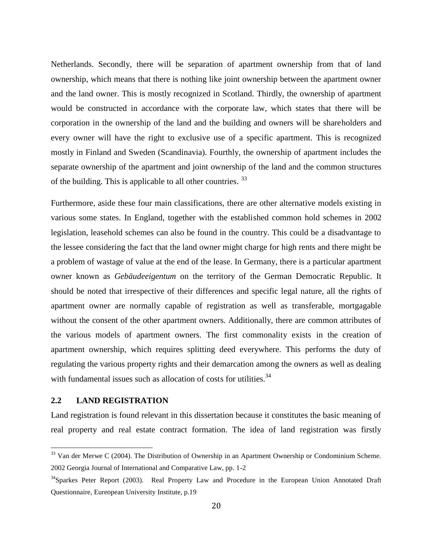Netherlands. Secondly, there will be separation of apartment ownership from that of land ownership, which means that there is nothing like joint ownership between the apartment owner and the land owner. This is mostly recognized in Scotland. Thirdly, the ownership of apartment would be constructed in accordance with the corporate law, which states that there will be corporation in the ownership of the land and the building and owners will be shareholders and every owner will have the right to exclusive use of a specific apartment. This is recognized mostly in Finland and Sweden (Scandinavia). Fourthly, the ownership of apartment includes the separate ownership of the apartment and joint ownership of the land and the common structures of the building. This is applicable to all other countries.<sup>33</sup>

Furthermore, aside these four main classifications, there are other alternative models existing in various some states. In England, together with the established common hold schemes in 2002 legislation, leasehold schemes can also be found in the country. This could be a disadvantage to the lessee considering the fact that the land owner might charge for high rents and there might be a problem of wastage of value at the end of the lease. In Germany, there is a particular apartment owner known as *Gebäudeeigentum* on the territory of the German Democratic Republic. It should be noted that irrespective of their differences and specific legal nature, all the rights of apartment owner are normally capable of registration as well as transferable, mortgagable without the consent of the other apartment owners. Additionally, there are common attributes of the various models of apartment owners. The first commonality exists in the creation of apartment ownership, which requires splitting deed everywhere. This performs the duty of regulating the various property rights and their demarcation among the owners as well as dealing with fundamental issues such as allocation of costs for utilities.  $34$ 

#### **2.2 LAND REGISTRATION**

Land registration is found relevant in this dissertation because it constitutes the basic meaning of real property and real estate contract formation. The idea of land registration was firstly

<sup>&</sup>lt;sup>33</sup> Van der Merwe C (2004). The Distribution of Ownership in an Apartment Ownership or Condominium Scheme. 2002 Georgia Journal of International and Comparative Law, pp. 1-2

<sup>&</sup>lt;sup>34</sup>Sparkes Peter Report (2003). Real Property Law and Procedure in the European Union Annotated Draft Questionnaire, Eureopean University Institute, p.19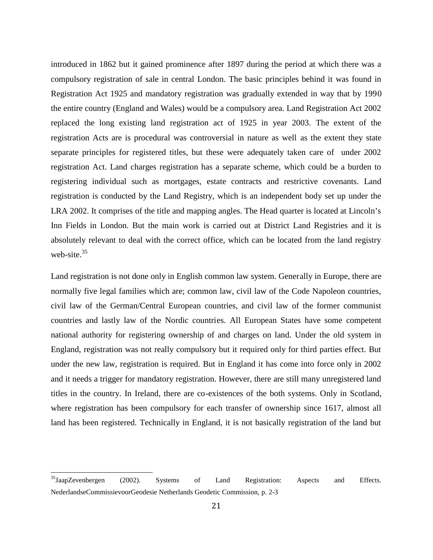introduced in 1862 but it gained prominence after 1897 during the period at which there was a compulsory registration of sale in central London. The basic principles behind it was found in Registration Act 1925 and mandatory registration was gradually extended in way that by 1990 the entire country (England and Wales) would be a compulsory area. Land Registration Act 2002 replaced the long existing land registration act of 1925 in year 2003. The extent of the registration Acts are is procedural was controversial in nature as well as the extent they state separate principles for registered titles, but these were adequately taken care of under 2002 registration Act. Land charges registration has a separate scheme, which could be a burden to registering individual such as mortgages, estate contracts and restrictive covenants. Land registration is conducted by the Land Registry, which is an independent body set up under the LRA 2002. It comprises of the title and mapping angles. The Head quarter is located at Lincoln's Inn Fields in London. But the main work is carried out at District Land Registries and it is absolutely relevant to deal with the correct office, which can be located from the land registry web-site. $35$ 

Land registration is not done only in English common law system. Generally in Europe, there are normally five legal families which are; common law, civil law of the Code Napoleon countries, civil law of the German/Central European countries, and civil law of the former communist countries and lastly law of the Nordic countries. All European States have some competent national authority for registering ownership of and charges on land. Under the old system in England, registration was not really compulsory but it required only for third parties effect. But under the new law, registration is required. But in England it has come into force only in 2002 and it needs a trigger for mandatory registration. However, there are still many unregistered land titles in the country. In Ireland, there are co-existences of the both systems. Only in Scotland, where registration has been compulsory for each transfer of ownership since 1617, almost all land has been registered. Technically in England, it is not basically registration of the land but

 $^{35}$ JaapZevenbergen (2002). Systems of Land Registration: Aspects and Effects. NederlandseCommissievoorGeodesie Netherlands Geodetic Commission, p. 2-3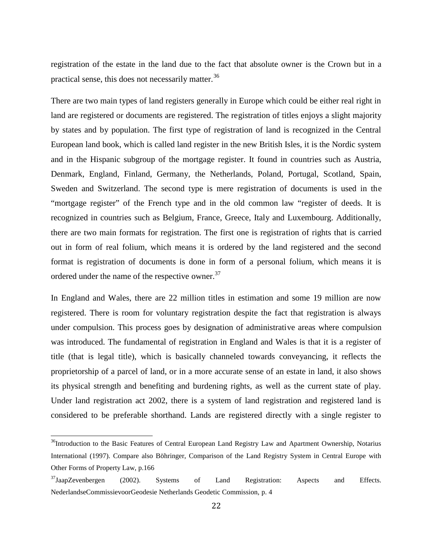registration of the estate in the land due to the fact that absolute owner is the Crown but in a practical sense, this does not necessarily matter.<sup>36</sup>

There are two main types of land registers generally in Europe which could be either real right in land are registered or documents are registered. The registration of titles enjoys a slight majority by states and by population. The first type of registration of land is recognized in the Central European land book, which is called land register in the new British Isles, it is the Nordic system and in the Hispanic subgroup of the mortgage register. It found in countries such as Austria, Denmark, England, Finland, Germany, the Netherlands, Poland, Portugal, Scotland, Spain, Sweden and Switzerland. The second type is mere registration of documents is used in the "mortgage register" of the French type and in the old common law "register of deeds. It is recognized in countries such as Belgium, France, Greece, Italy and Luxembourg. Additionally, there are two main formats for registration. The first one is registration of rights that is carried out in form of real folium, which means it is ordered by the land registered and the second format is registration of documents is done in form of a personal folium, which means it is ordered under the name of the respective owner.<sup>37</sup>

In England and Wales, there are 22 million titles in estimation and some 19 million are now registered. There is room for voluntary registration despite the fact that registration is always under compulsion. This process goes by designation of administrative areas where compulsion was introduced. The fundamental of registration in England and Wales is that it is a register of title (that is legal title), which is basically channeled towards conveyancing, it reflects the proprietorship of a parcel of land, or in a more accurate sense of an estate in land, it also shows its physical strength and benefiting and burdening rights, as well as the current state of play. Under land registration act 2002, there is a system of land registration and registered land is considered to be preferable shorthand. Lands are registered directly with a single register to

<sup>&</sup>lt;sup>36</sup>Introduction to the Basic Features of Central European Land Registry Law and Apartment Ownership, Notarius International (1997). Compare also Böhringer, Comparison of the Land Registry System in Central Europe with Other Forms of Property Law, p.166

<sup>&</sup>lt;sup>37</sup>JaapZevenbergen (2002). Systems of Land Registration: Aspects and Effects. NederlandseCommissievoorGeodesie Netherlands Geodetic Commission, p. 4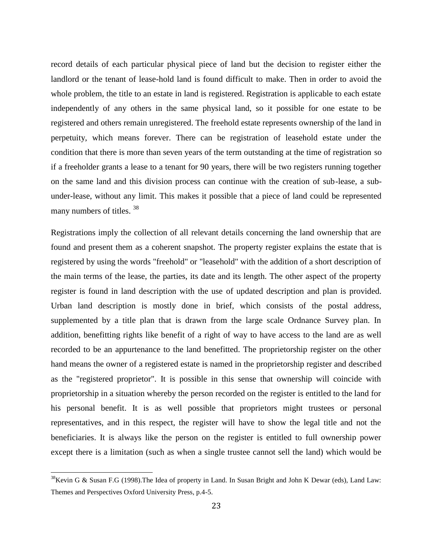record details of each particular physical piece of land but the decision to register either the landlord or the tenant of lease-hold land is found difficult to make. Then in order to avoid the whole problem, the title to an estate in land is registered. Registration is applicable to each estate independently of any others in the same physical land, so it possible for one estate to be registered and others remain unregistered. The freehold estate represents ownership of the land in perpetuity, which means forever. There can be registration of leasehold estate under the condition that there is more than seven years of the term outstanding at the time of registration so if a freeholder grants a lease to a tenant for 90 years, there will be two registers running together on the same land and this division process can continue with the creation of sub-lease, a sub under-lease, without any limit. This makes it possible that a piece of land could be represented many numbers of titles. 38

Registrations imply the collection of all relevant details concerning the land ownership that are found and present them as a coherent snapshot. The property register explains the estate that is registered by using the words "freehold" or "leasehold" with the addition of a short description of the main terms of the lease, the parties, its date and its length. The other aspect of the property register is found in land description with the use of updated description and plan is provided. Urban land description is mostly done in brief, which consists of the postal address, supplemented by a title plan that is drawn from the large scale Ordnance Survey plan. In addition, benefitting rights like benefit of a right of way to have access to the land are as well recorded to be an appurtenance to the land benefitted. The proprietorship register on the other hand means the owner of a registered estate is named in the proprietorship register and described as the "registered proprietor". It is possible in this sense that ownership will coincide with proprietorship in a situation whereby the person recorded on the register is entitled to the land for his personal benefit. It is as well possible that proprietors might trustees or personal representatives, and in this respect, the register will have to show the legal title and not the beneficiaries. It is always like the person on the register is entitled to full ownership power except there is a limitation (such as when a single trustee cannot sell the land) which would be

 $38$ Kevin G & Susan F.G (1998). The Idea of property in Land. In Susan Bright and John K Dewar (eds), Land Law: Themes and Perspectives Oxford University Press, p.4-5.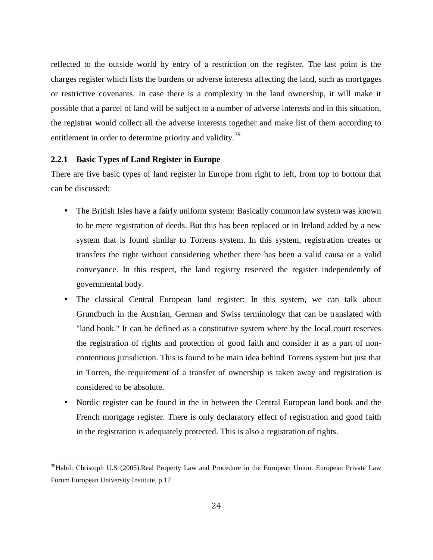reflected to the outside world by entry of a restriction on the register. The last point is the charges register which lists the burdens or adverse interests affecting the land, such as mortgages or restrictive covenants. In case there is a complexity in the land ownership, it will make it possible that a parcel of land will be subject to a number of adverse interests and in this situation, the registrar would collect all the adverse interests together and make list of them according to entitlement in order to determine priority and validity.<sup>39</sup>

#### **2.2.1 Basic Types of Land Register in Europe**

There are five basic types of land register in Europe from right to left, from top to bottom that can be discussed:

- The British Isles have a fairly uniform system: Basically common law system was known to be mere registration of deeds. But this has been replaced or in Ireland added by a new system that is found similar to Torrens system. In this system, registration creates or transfers the right without considering whether there has been a valid causa or a valid conveyance. In this respect, the land registry reserved the register independently of governmental body.
- The classical Central European land register: In this system, we can talk about Grundbuch in the Austrian, German and Swiss terminology that can be translated with "land book." It can be defined as a constitutive system where by the local court reserves the registration of rights and protection of good faith and consider it as a part of non contentious jurisdiction. This is found to be main idea behind Torrens system but just that in Torren, the requirement of a transfer of ownership is taken away and registration is considered to be absolute.
- Nordic register can be found in the in between the Central European land book and the French mortgage register. There is only declaratory effect of registration and good faith in the registration is adequately protected. This is also a registration of rights.

<sup>&</sup>lt;sup>39</sup>Habil; Christoph U.S (2005).Real Property Law and Procedure in the European Union. European Private Law Forum European University Institute, p.17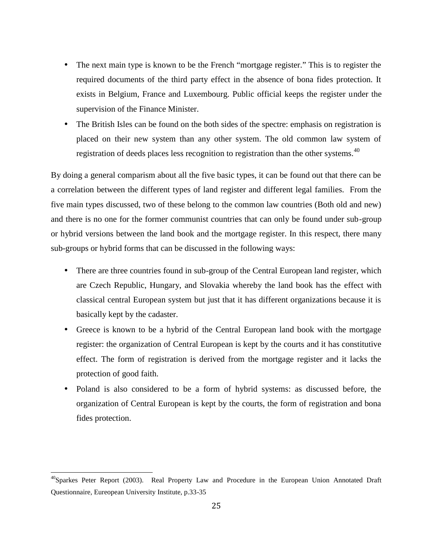- The next main type is known to be the French "mortgage register." This is to register the required documents of the third party effect in the absence of bona fides protection. It exists in Belgium, France and Luxembourg. Public official keeps the register under the supervision of the Finance Minister.
- The British Isles can be found on the both sides of the spectre: emphasis on registration is placed on their new system than any other system. The old common law system of registration of deeds places less recognition to registration than the other systems. $40$

By doing a general comparism about all the five basic types, it can be found out that there can be a correlation between the different types of land register and different legal families. From the five main types discussed, two of these belong to the common law countries (Both old and new) and there is no one for the former communist countries that can only be found under sub-group or hybrid versions between the land book and the mortgage register. In this respect, there many sub-groups or hybrid forms that can be discussed in the following ways:

- There are three countries found in sub-group of the Central European land register, which are Czech Republic, Hungary, and Slovakia whereby the land book has the effect with classical central European system but just that it has different organizations because it is basically kept by the cadaster.
- Greece is known to be a hybrid of the Central European land book with the mortgage register: the organization of Central European is kept by the courts and it has constitutive effect. The form of registration is derived from the mortgage register and it lacks the protection of good faith.
- Poland is also considered to be a form of hybrid systems: as discussed before, the organization of Central European is kept by the courts, the form of registration and bona fides protection.

 $^{40}$ Sparkes Peter Report (2003). Real Property Law and Procedure in the European Union Annotated Draft Questionnaire, Eureopean University Institute, p.33-35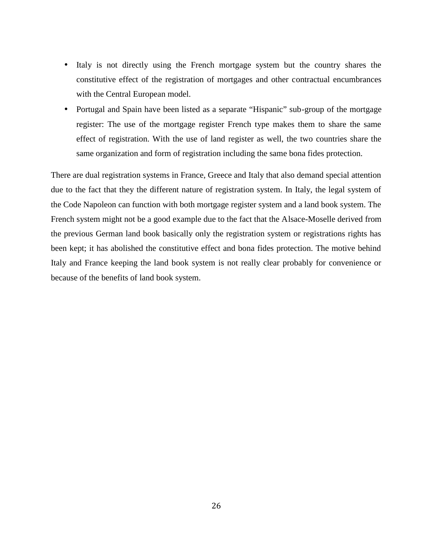- Italy is not directly using the French mortgage system but the country shares the constitutive effect of the registration of mortgages and other contractual encumbrances with the Central European model.
- Portugal and Spain have been listed as a separate "Hispanic" sub-group of the mortgage register: The use of the mortgage register French type makes them to share the same effect of registration. With the use of land register as well, the two countries share the same organization and form of registration including the same bona fides protection.

There are dual registration systems in France, Greece and Italy that also demand special attention due to the fact that they the different nature of registration system. In Italy, the legal system of the Code Napoleon can function with both mortgage register system and a land book system. The French system might not be a good example due to the fact that the Alsace-Moselle derived from the previous German land book basically only the registration system or registrations rights has been kept; it has abolished the constitutive effect and bona fides protection. The motive behind Italy and France keeping the land book system is not really clear probably for convenience or because of the benefits of land book system.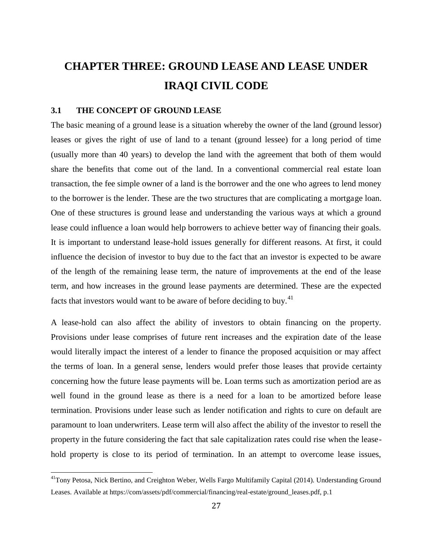# **CHAPTER THREE: GROUND LEASE AND LEASE UNDER IRAQI CIVIL CODE**

#### **3.1 THE CONCEPT OF GROUND LEASE**

The basic meaning of a ground lease is a situation whereby the owner of the land (ground lessor) leases or gives the right of use of land to a tenant (ground lessee) for a long period of time (usually more than 40 years) to develop the land with the agreement that both of them would share the benefits that come out of the land. In a conventional commercial real estate loan transaction, the fee simple owner of a land is the borrower and the one who agrees to lend money to the borrower is the lender. These are the two structures that are complicating a mortgage loan. One of these structures is ground lease and understanding the various ways at which a ground lease could influence a loan would help borrowers to achieve better way of financing their goals. It is important to understand lease-hold issues generally for different reasons. At first, it could influence the decision of investor to buy due to the fact that an investor is expected to be aware of the length of the remaining lease term, the nature of improvements at the end of the lease term, and how increases in the ground lease payments are determined. These are the expected facts that investors would want to be aware of before deciding to buy.<sup>41</sup>

A lease-hold can also affect the ability of investors to obtain financing on the property. Provisions under lease comprises of future rent increases and the expiration date of the lease would literally impact the interest of a lender to finance the proposed acquisition or may affect the terms of loan. In a general sense, lenders would prefer those leases that provide certainty concerning how the future lease payments will be. Loan terms such as amortization period are as well found in the ground lease as there is a need for a loan to be amortized before lease termination. Provisions under lease such as lender notification and rights to cure on default are paramount to loan underwriters. Lease term will also affect the ability of the investor to resell the property in the future considering the fact that sale capitalization rates could rise when the lease hold property is close to its period of termination. In an attempt to overcome lease issues,

<sup>&</sup>lt;sup>41</sup>Tony Petosa, Nick Bertino, and Creighton Weber, Wells Fargo Multifamily Capital (2014). Understanding Ground Leases. Available at https://com/assets/pdf/commercial/financing/real-estate/ground\_leases.pdf, p.1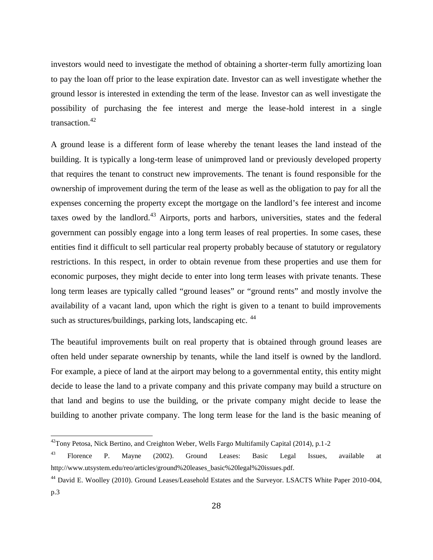investors would need to investigate the method of obtaining a shorter-term fully amortizing loan to pay the loan off prior to the lease expiration date. Investor can as well investigate whether the ground lessor is interested in extending the term of the lease. Investor can as well investigate the possibility of purchasing the fee interest and merge the lease-hold interest in a single transaction.<sup>42</sup>

A ground lease is a different form of lease whereby the tenant leases the land instead of the building. It is typically a long-term lease of unimproved land or previously developed property that requires the tenant to construct new improvements. The tenant is found responsible for the ownership of improvement during the term of the lease as well as the obligation to pay for all the expenses concerning the property except the mortgage on the landlord's fee interest and income taxes owed by the landlord. $43$  Airports, ports and harbors, universities, states and the federal government can possibly engage into a long term leases of real properties. In some cases, these entities find it difficult to sell particular real property probably because of statutory or regulatory restrictions. In this respect, in order to obtain revenue from these properties and use them for economic purposes, they might decide to enter into long term leases with private tenants. These long term leases are typically called "ground leases" or "ground rents" and mostly involve the availability of a vacant land, upon which the right is given to a tenant to build improvements such as structures/buildings, parking lots, landscaping etc. <sup>44</sup>

The beautiful improvements built on real property that is obtained through ground leases are often held under separate ownership by tenants, while the land itself is owned by the landlord. For example, a piece of land at the airport may belong to a governmental entity, this entity might decide to lease the land to a private company and this private company may build a structure on that land and begins to use the building, or the private company might decide to lease the building to another private company. The long term lease for the land is the basic meaning of

 $^{42}$ Tony Petosa, Nick Bertino, and Creighton Weber, Wells Fargo Multifamily Capital (2014), p.1-2

<sup>&</sup>lt;sup>43</sup> Florence P. Mayne (2002). Ground Leases: Basic Legal Issues, available at http://www.utsystem.edu/reo/articles/ground%20leases\_basic%20legal%20issues.pdf.

<sup>&</sup>lt;sup>44</sup> David E. Woolley (2010). Ground Leases/Leasehold Estates and the Surveyor. LSACTS White Paper 2010-004, p.3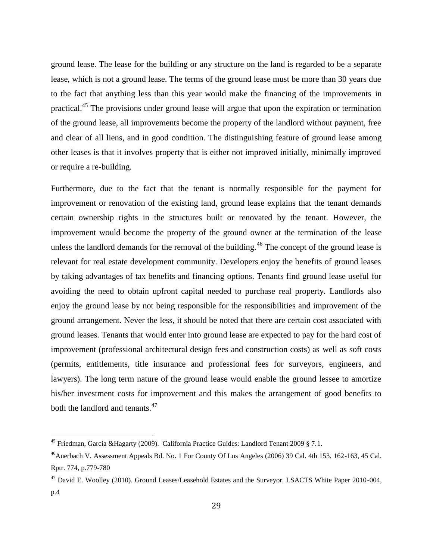ground lease. The lease for the building or any structure on the land is regarded to be a separate lease, which is not a ground lease. The terms of the ground lease must be more than 30 years due to the fact that anything less than this year would make the financing of the improvements in practical.<sup>45</sup> The provisions under ground lease will argue that upon the expiration or termination of the ground lease, all improvements become the property of the landlord without payment, free and clear of all liens, and in good condition. The distinguishing feature of ground lease among other leases is that it involves property that is either not improved initially, minimally improved or require a re-building.

Furthermore, due to the fact that the tenant is normally responsible for the payment for improvement or renovation of the existing land, ground lease explains that the tenant demands certain ownership rights in the structures built or renovated by the tenant. However, the improvement would become the property of the ground owner at the termination of the lease unless the landlord demands for the removal of the building.<sup>46</sup> The concept of the ground lease is relevant for real estate development community. Developers enjoy the benefits of ground leases by taking advantages of tax benefits and financing options. Tenants find ground lease useful for avoiding the need to obtain upfront capital needed to purchase real property. Landlords also enjoy the ground lease by not being responsible for the responsibilities and improvement of the ground arrangement. Never the less, it should be noted that there are certain cost associated with ground leases. Tenants that would enter into ground lease are expected to pay for the hard cost of improvement (professional architectural design fees and construction costs) as well as soft costs (permits, entitlements, title insurance and professional fees for surveyors, engineers, and lawyers). The long term nature of the ground lease would enable the ground lessee to amortize his/her investment costs for improvement and this makes the arrangement of good benefits to both the landlord and tenants.<sup>47</sup>

<sup>&</sup>lt;sup>45</sup> Friedman, Garcia &Hagarty (2009). California Practice Guides: Landlord Tenant 2009 § 7.1.

<sup>&</sup>lt;sup>46</sup>Auerbach V. Assessment Appeals Bd. No. 1 For County Of Los Angeles (2006) 39 Cal. 4th 153, 162-163, 45 Cal. Rptr. 774, p.779-780

<sup>&</sup>lt;sup>47</sup> David E. Woolley (2010). Ground Leases/Leasehold Estates and the Surveyor. LSACTS White Paper 2010-004, p.4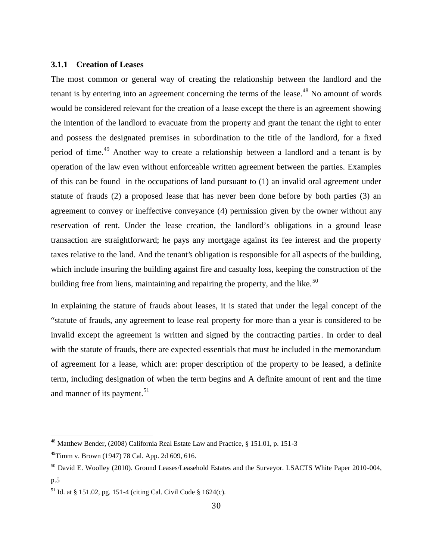#### **3.1.1 Creation of Leases**

The most common or general way of creating the relationship between the landlord and the tenant is by entering into an agreement concerning the terms of the lease.<sup>48</sup> No amount of words would be considered relevant for the creation of a lease except the there is an agreement showing the intention of the landlord to evacuate from the property and grant the tenant the right to enter and possess the designated premises in subordination to the title of the landlord, for a fixed period of time.<sup>49</sup> Another way to create a relationship between a landlord and a tenant is by operation of the law even without enforceable written agreement between the parties. Examples of this can be found in the occupations of land pursuant to (1) an invalid oral agreement under statute of frauds (2) a proposed lease that has never been done before by both parties (3) an agreement to convey or ineffective conveyance (4) permission given by the owner without any reservation of rent. Under the lease creation, the landlord's obligations in a ground lease transaction are straightforward; he pays any mortgage against its fee interest and the property taxes relative to the land. And the tenant's obligation is responsible for all aspects of the building, which include insuring the building against fire and casualty loss, keeping the construction of the building free from liens, maintaining and repairing the property, and the like.<sup>50</sup>

In explaining the stature of frauds about leases, it is stated that under the legal concept of the "statute of frauds, any agreement to lease real property for more than a year is considered to be invalid except the agreement is written and signed by the contracting parties. In order to deal with the statute of frauds, there are expected essentials that must be included in the memorandum of agreement for a lease, which are: proper description of the property to be leased, a definite term, including designation of when the term begins and A definite amount of rent and the time and manner of its payment.<sup>51</sup>

<sup>&</sup>lt;sup>48</sup> Matthew Bender, (2008) California Real Estate Law and Practice,  $\S$  151.01, p. 151-3

<sup>49</sup>Timm v. Brown (1947) 78 Cal. App. 2d 609, 616.

<sup>50</sup> David E. Woolley (2010). Ground Leases/Leasehold Estates and the Surveyor. LSACTS White Paper 2010-004, p.5

<sup>51</sup> Id. at § 151.02, pg. 151-4 (citing Cal. Civil Code § 1624(c).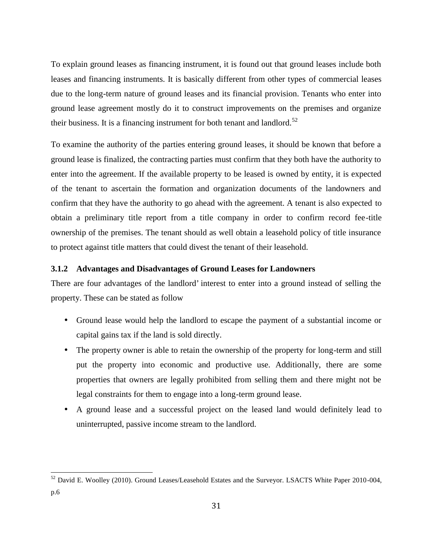To explain ground leases as financing instrument, it is found out that ground leases include both leases and financing instruments. It is basically different from other types of commercial leases due to the long-term nature of ground leases and its financial provision. Tenants who enter into ground lease agreement mostly do it to construct improvements on the premises and organize their business. It is a financing instrument for both tenant and landlord.<sup>52</sup>

To examine the authority of the parties entering ground leases, it should be known that before a ground lease is finalized, the contracting parties must confirm that they both have the authority to enter into the agreement. If the available property to be leased is owned by entity, it is expected of the tenant to ascertain the formation and organization documents of the landowners and confirm that they have the authority to go ahead with the agreement. A tenant is also expected to obtain a preliminary title report from a title company in order to confirm record fee-title ownership of the premises. The tenant should as well obtain a leasehold policy of title insurance to protect against title matters that could divest the tenant of their leasehold.

#### **3.1.2 Advantages and Disadvantages of Ground Leases for Landowners**

There are four advantages of the landlord' interest to enter into a ground instead of selling the property. These can be stated as follow

- Ground lease would help the landlord to escape the payment of a substantial income or capital gains tax if the land is sold directly.
- The property owner is able to retain the ownership of the property for long-term and still put the property into economic and productive use. Additionally, there are some properties that owners are legally prohibited from selling them and there might not be legal constraints for them to engage into a long-term ground lease.
- A ground lease and a successful project on the leased land would definitely lead to uninterrupted, passive income stream to the landlord.

<sup>&</sup>lt;sup>52</sup> David E. Woolley (2010). Ground Leases/Leasehold Estates and the Surveyor. LSACTS White Paper 2010-004, p.6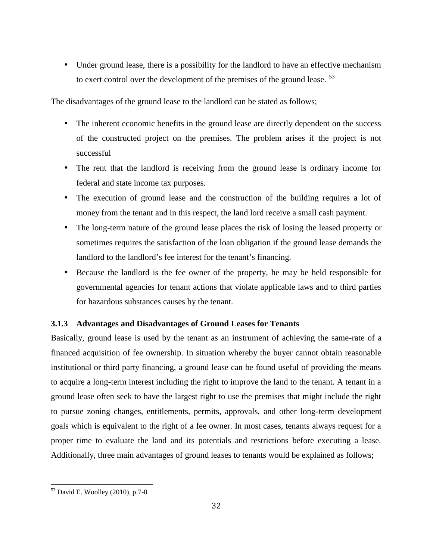• Under ground lease, there is a possibility for the landlord to have an effective mechanism to exert control over the development of the premises of the ground lease.<sup>53</sup>

The disadvantages of the ground lease to the landlord can be stated as follows;

- The inherent economic benefits in the ground lease are directly dependent on the success of the constructed project on the premises. The problem arises if the project is not successful
- The rent that the landlord is receiving from the ground lease is ordinary income for federal and state income tax purposes.
- The execution of ground lease and the construction of the building requires a lot of money from the tenant and in this respect, the land lord receive a small cash payment.
- The long-term nature of the ground lease places the risk of losing the leased property or sometimes requires the satisfaction of the loan obligation if the ground lease demands the landlord to the landlord's fee interest for the tenant's financing.
- Because the landlord is the fee owner of the property, he may be held responsible for governmental agencies for tenant actions that violate applicable laws and to third parties for hazardous substances causes by the tenant.

#### **3.1.3 Advantages and Disadvantages of Ground Leases for Tenants**

Basically, ground lease is used by the tenant as an instrument of achieving the same-rate of a financed acquisition of fee ownership. In situation whereby the buyer cannot obtain reasonable institutional or third party financing, a ground lease can be found useful of providing the means to acquire a long-term interest including the right to improve the land to the tenant. A tenant in a ground lease often seek to have the largest right to use the premises that might include the right to pursue zoning changes, entitlements, permits, approvals, and other long-term development goals which is equivalent to the right of a fee owner. In most cases, tenants always request for a proper time to evaluate the land and its potentials and restrictions before executing a lease. Additionally, three main advantages of ground leases to tenants would be explained as follows;

 $53$  David E. Woolley (2010), p.7-8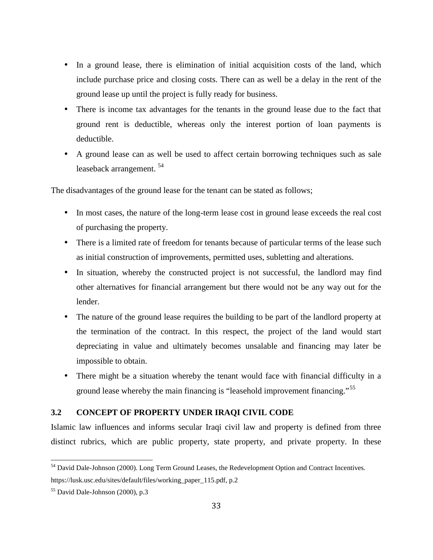- In a ground lease, there is elimination of initial acquisition costs of the land, which include purchase price and closing costs. There can as well be a delay in the rent of the ground lease up until the project is fully ready for business.
- There is income tax advantages for the tenants in the ground lease due to the fact that ground rent is deductible, whereas only the interest portion of loan payments is deductible.
- A ground lease can as well be used to affect certain borrowing techniques such as sale leaseback arrangement.<sup>54</sup>

The disadvantages of the ground lease for the tenant can be stated as follows;

- In most cases, the nature of the long-term lease cost in ground lease exceeds the real cost of purchasing the property.
- There is a limited rate of freedom for tenants because of particular terms of the lease such as initial construction of improvements, permitted uses, subletting and alterations.
- In situation, whereby the constructed project is not successful, the landlord may find other alternatives for financial arrangement but there would not be any way out for the lender.
- The nature of the ground lease requires the building to be part of the landlord property at the termination of the contract. In this respect, the project of the land would start depreciating in value and ultimately becomes unsalable and financing may later be impossible to obtain.
- There might be a situation whereby the tenant would face with financial difficulty in a ground lease whereby the main financing is "leasehold improvement financing."<sup>55</sup>

#### **3.2 CONCEPT OF PROPERTY UNDER IRAQI CIVIL CODE**

Islamic law influences and informs secular Iraqi civil law and property is defined from three distinct rubrics, which are public property, state property, and private property. In these

<sup>54</sup> David Dale-Johnson (2000). Long Term Ground Leases, the Redevelopment Option and Contract Incentives. https://lusk.usc.edu/sites/default/files/working\_paper\_115.pdf, p.2

<sup>55</sup> David Dale-Johnson (2000), p.3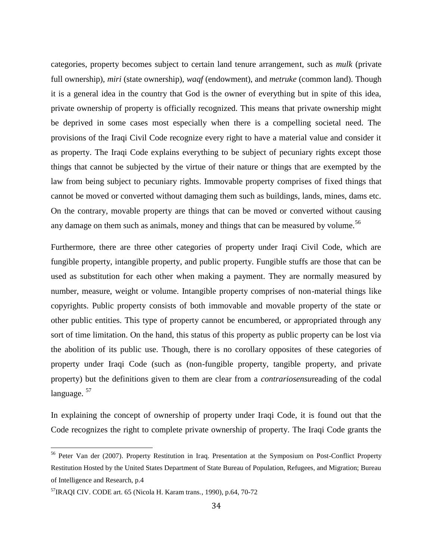categories, property becomes subject to certain land tenure arrangement, such as *mulk* (private full ownership), *miri* (state ownership), *waqf* (endowment), and *metruke* (common land). Though it is a general idea in the country that God is the owner of everything but in spite of this idea, private ownership of property is officially recognized. This means that private ownership might be deprived in some cases most especially when there is a compelling societal need. The provisions of the Iraqi Civil Code recognize every right to have a material value and consider it as property. The Iraqi Code explains everything to be subject of pecuniary rights except those things that cannot be subjected by the virtue of their nature or things that are exempted by the law from being subject to pecuniary rights. Immovable property comprises of fixed things that cannot be moved or converted without damaging them such as buildings, lands, mines, dams etc. On the contrary, movable property are things that can be moved or converted without causing any damage on them such as animals, money and things that can be measured by volume.<sup>56</sup>

Furthermore, there are three other categories of property under Iraqi Civil Code, which are fungible property, intangible property, and public property. Fungible stuffs are those that can be used as substitution for each other when making a payment. They are normally measured by number, measure, weight or volume. Intangible property comprises of non-material things like copyrights. Public property consists of both immovable and movable property of the state or other public entities. This type of property cannot be encumbered, or appropriated through any sort of time limitation. On the hand, this status of this property as public property can be lost via the abolition of its public use. Though, there is no corollary opposites of these categories of property under Iraqi Code (such as (non-fungible property, tangible property, and private property) but the definitions given to them are clear from a *contrariosensu*reading of the codal language.  $57$ 

In explaining the concept of ownership of property under Iraqi Code, it is found out that the Code recognizes the right to complete private ownership of property. The Iraqi Code grants the

<sup>56</sup> Peter Van der (2007). Property Restitution in Iraq. Presentation at the Symposium on Post-Conflict Property Restitution Hosted by the United States Department of State Bureau of Population, Refugees, and Migration; Bureau of Intelligence and Research, p.4

<sup>57</sup>IRAQI CIV. CODE art. 65 (Nicola H. Karam trans., 1990), p.64, 70-72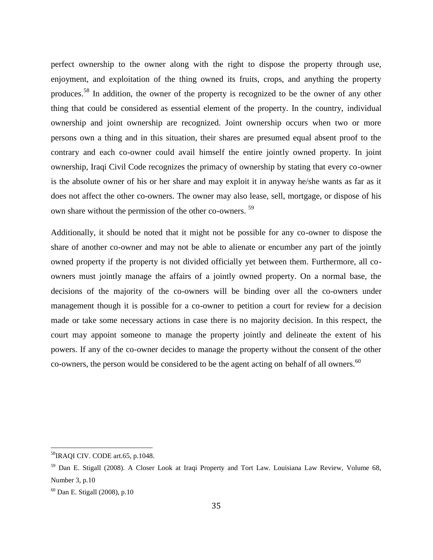perfect ownership to the owner along with the right to dispose the property through use, enjoyment, and exploitation of the thing owned its fruits, crops, and anything the property produces.<sup>58</sup> In addition, the owner of the property is recognized to be the owner of any other thing that could be considered as essential element of the property. In the country, individual ownership and joint ownership are recognized. Joint ownership occurs when two or more persons own a thing and in this situation, their shares are presumed equal absent proof to the contrary and each co-owner could avail himself the entire jointly owned property. In joint ownership, Iraqi Civil Code recognizes the primacy of ownership by stating that every co-owner is the absolute owner of his or her share and may exploit it in anyway he/she wants as far as it does not affect the other co-owners. The owner may also lease, sell, mortgage, or dispose of his own share without the permission of the other co-owners. <sup>59</sup>

Additionally, it should be noted that it might not be possible for any co-owner to dispose the share of another co-owner and may not be able to alienate or encumber any part of the jointly owned property if the property is not divided officially yet between them. Furthermore, all co owners must jointly manage the affairs of a jointly owned property. On a normal base, the decisions of the majority of the co-owners will be binding over all the co-owners under management though it is possible for a co-owner to petition a court for review for a decision made or take some necessary actions in case there is no majority decision. In this respect, the court may appoint someone to manage the property jointly and delineate the extent of his powers. If any of the co-owner decides to manage the property without the consent of the other co-owners, the person would be considered to be the agent acting on behalf of all owners.<sup>60</sup>

<sup>58</sup>IRAQI CIV. CODE art.65, p.1048.

<sup>59</sup> Dan E. Stigall (2008). A Closer Look at Iraqi Property and Tort Law. Louisiana Law Review, Volume 68, Number 3, p.10

 $60$  Dan E. Stigall (2008), p.10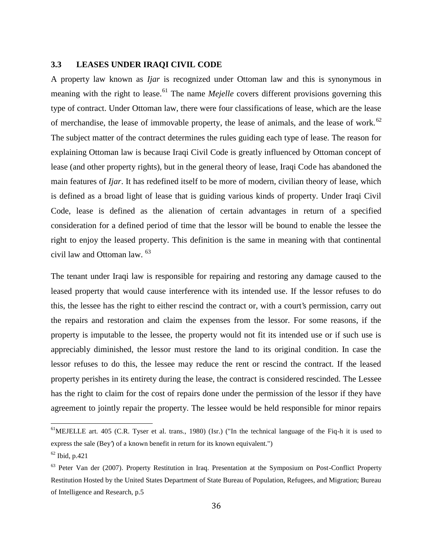#### **3.3 LEASES UNDER IRAQI CIVIL CODE**

A property law known as *Ijar* is recognized under Ottoman law and this is synonymous in meaning with the right to lease.<sup>61</sup> The name *Mejelle* covers different provisions governing this type of contract. Under Ottoman law, there were four classifications of lease, which are the lease of merchandise, the lease of immovable property, the lease of animals, and the lease of work.<sup>62</sup> The subject matter of the contract determines the rules guiding each type of lease. The reason for explaining Ottoman law is because Iraqi Civil Code is greatly influenced by Ottoman concept of lease (and other property rights), but in the general theory of lease, Iraqi Code has abandoned the main features of *Ijar*. It has redefined itself to be more of modern, civilian theory of lease, which is defined as a broad light of lease that is guiding various kinds of property. Under Iraqi Civil Code, lease is defined as the alienation of certain advantages in return of a specified consideration for a defined period of time that the lessor will be bound to enable the lessee the right to enjoy the leased property. This definition is the same in meaning with that continental civil law and Ottoman law. <sup>63</sup>

The tenant under Iraqi law is responsible for repairing and restoring any damage caused to the leased property that would cause interference with its intended use. If the lessor refuses to do this, the lessee has the right to either rescind the contract or, with a court's permission, carry out the repairs and restoration and claim the expenses from the lessor. For some reasons, if the property is imputable to the lessee, the property would not fit its intended use or if such use is appreciably diminished, the lessor must restore the land to its original condition. In case the lessor refuses to do this, the lessee may reduce the rent or rescind the contract. If the leased property perishes in its entirety during the lease, the contract is considered rescinded. The Lessee has the right to claim for the cost of repairs done under the permission of the lessor if they have agreement to jointly repair the property. The lessee would be held responsible for minor repairs

 $<sup>61</sup>$ MEJELLE art. 405 (C.R. Tyser et al. trans., 1980) (Isr.) ("In the technical language of the Fiq-h it is used to</sup> express the sale (Bey') of a known benefit in return for its known equivalent.")

<sup>62</sup> Ibid, p.421

<sup>&</sup>lt;sup>63</sup> Peter Van der (2007). Property Restitution in Iraq. Presentation at the Symposium on Post-Conflict Property Restitution Hosted by the United States Department of State Bureau of Population, Refugees, and Migration; Bureau of Intelligence and Research, p.5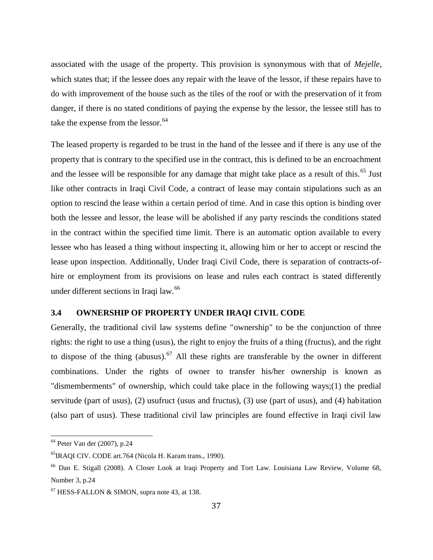associated with the usage of the property. This provision is synonymous with that of *Mejelle*, which states that; if the lessee does any repair with the leave of the lessor, if these repairs have to do with improvement of the house such as the tiles of the roof or with the preservation of it from danger, if there is no stated conditions of paying the expense by the lessor, the lessee still has to take the expense from the lessor.  $64$ 

The leased property is regarded to be trust in the hand of the lessee and if there is any use of the property that is contrary to the specified use in the contract, this is defined to be an encroachment and the lessee will be responsible for any damage that might take place as a result of this.<sup>65</sup> Just like other contracts in Iraqi Civil Code, a contract of lease may contain stipulations such as an option to rescind the lease within a certain period of time. And in case this option is binding over both the lessee and lessor, the lease will be abolished if any party rescinds the conditions stated in the contract within the specified time limit. There is an automatic option available to every lessee who has leased a thing without inspecting it, allowing him or her to accept or rescind the lease upon inspection. Additionally, Under Iraqi Civil Code, there is separation of contracts-of hire or employment from its provisions on lease and rules each contract is stated differently under different sections in Iraqi law.<sup>66</sup>

#### **3.4 OWNERSHIP OF PROPERTY UNDER IRAQI CIVIL CODE**

Generally, the traditional civil law systems define "ownership" to be the conjunction of three rights: the right to use a thing (usus), the right to enjoy the fruits of a thing (fructus), and the right to dispose of the thing (abusus).<sup>67</sup> All these rights are transferable by the owner in different combinations. Under the rights of owner to transfer his/her ownership is known as "dismemberments" of ownership, which could take place in the following ways;(1) the predial servitude (part of usus), (2) usufruct (usus and fructus), (3) use (part of usus), and (4) habitation (also part of usus). These traditional civil law principles are found effective in Iraqi civil law

<sup>64</sup> Peter Van der (2007), p.24

<sup>65</sup>IRAQI CIV. CODE art.764 (Nicola H. Karam trans., 1990).

<sup>66</sup> Dan E. Stigall (2008). A Closer Look at Iraqi Property and Tort Law. Louisiana Law Review, Volume 68, Number 3, p.24

 $67$  HESS-FALLON & SIMON, supra note 43, at 138.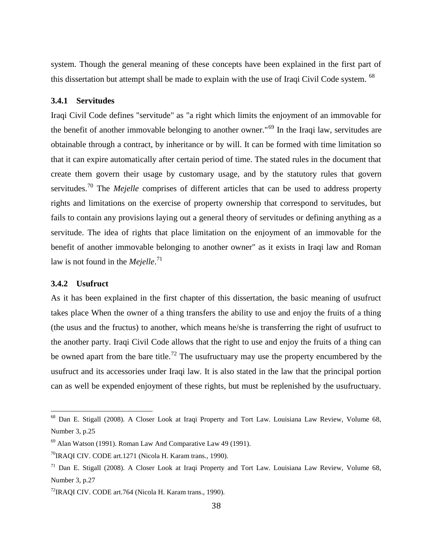system. Though the general meaning of these concepts have been explained in the first part of this dissertation but attempt shall be made to explain with the use of Iraqi Civil Code system. <sup>68</sup>

#### **3.4.1 Servitudes**

Iraqi Civil Code defines "servitude" as "a right which limits the enjoyment of an immovable for the benefit of another immovable belonging to another owner."<sup>69</sup> In the Iraqi law, servitudes are obtainable through a contract, by inheritance or by will. It can be formed with time limitation so that it can expire automatically after certain period of time. The stated rules in the document that create them govern their usage by customary usage, and by the statutory rules that govern servitudes.<sup>70</sup> The *Mejelle* comprises of different articles that can be used to address property rights and limitations on the exercise of property ownership that correspond to servitudes, but fails to contain any provisions laying out a general theory of servitudes or defining anything as a servitude. The idea of rights that place limitation on the enjoyment of an immovable for the benefit of another immovable belonging to another owner" as it exists in Iraqi law and Roman law is not found in the *Mejelle*.<sup>71</sup>

#### **3.4.2 Usufruct**

As it has been explained in the first chapter of this dissertation, the basic meaning of usufruct takes place When the owner of a thing transfers the ability to use and enjoy the fruits of a thing (the usus and the fructus) to another, which means he/she is transferring the right of usufruct to the another party. Iraqi Civil Code allows that the right to use and enjoy the fruits of a thing can be owned apart from the bare title.<sup>72</sup> The usufructuary may use the property encumbered by the usufruct and its accessories under Iraqi law. It is also stated in the law that the principal portion can as well be expended enjoyment of these rights, but must be replenished by the usufructuary.

<sup>68</sup> Dan E. Stigall (2008). A Closer Look at Iraqi Property and Tort Law. Louisiana Law Review, Volume 68, Number 3, p.25

 $^{69}$  Alan Watson (1991). Roman Law And Comparative Law 49 (1991).

<sup>70</sup>IRAQI CIV. CODE art.1271 (Nicola H. Karam trans., 1990).

 $71$  Dan E. Stigall (2008). A Closer Look at Iraqi Property and Tort Law. Louisiana Law Review, Volume 68, Number 3, p.27

 $^{72}$ IRAQI CIV. CODE art. 764 (Nicola H. Karam trans., 1990).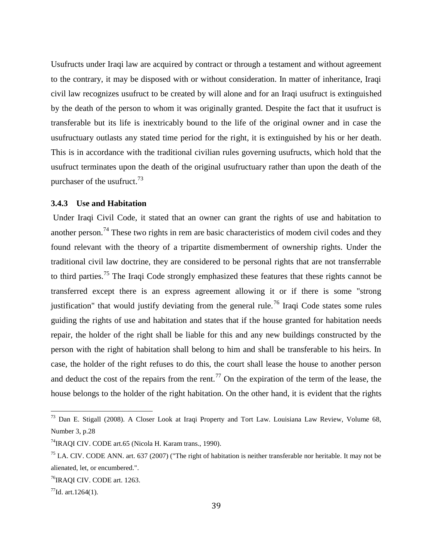Usufructs under Iraqi law are acquired by contract or through a testament and without agreement to the contrary, it may be disposed with or without consideration. In matter of inheritance, Iraqi civil law recognizes usufruct to be created by will alone and for an Iraqi usufruct is extinguished by the death of the person to whom it was originally granted. Despite the fact that it usufruct is transferable but its life is inextricably bound to the life of the original owner and in case the usufructuary outlasts any stated time period for the right, it is extinguished by his or her death. This is in accordance with the traditional civilian rules governing usufructs, which hold that the usufruct terminates upon the death of the original usufructuary rather than upon the death of the purchaser of the usufruct.<sup>73</sup>

#### **3.4.3 Use and Habitation**

Under Iraqi Civil Code, it stated that an owner can grant the rights of use and habitation to another person.<sup>74</sup> These two rights in rem are basic characteristics of modem civil codes and they found relevant with the theory of a tripartite dismemberment of ownership rights. Under the traditional civil law doctrine, they are considered to be personal rights that are not transferrable to third parties.<sup>75</sup> The Iraqi Code strongly emphasized these features that these rights cannot be transferred except there is an express agreement allowing it or if there is some "strong justification" that would justify deviating from the general rule.<sup>76</sup> Iraqi Code states some rules guiding the rights of use and habitation and states that if the house granted for habitation needs repair, the holder of the right shall be liable for this and any new buildings constructed by the person with the right of habitation shall belong to him and shall be transferable to his heirs. In case, the holder of the right refuses to do this, the court shall lease the house to another person and deduct the cost of the repairs from the rent.<sup>77</sup> On the expiration of the term of the lease, the house belongs to the holder of the right habitation. On the other hand, it is evident that the rights

<sup>73</sup> Dan E. Stigall (2008). A Closer Look at Iraqi Property and Tort Law. Louisiana Law Review, Volume 68, Number 3, p.28

<sup>&</sup>lt;sup>74</sup>IRAQI CIV. CODE art.65 (Nicola H. Karam trans., 1990).

 $<sup>75</sup>$  LA. CIV. CODE ANN. art. 637 (2007) ("The right of habitation is neither transferable nor heritable. It may not be</sup> alienated, let, or encumbered.".

<sup>&</sup>lt;sup>76</sup>IRAQI CIV. CODE art. 1263.

 $^{77}$ Id. art.1264(1).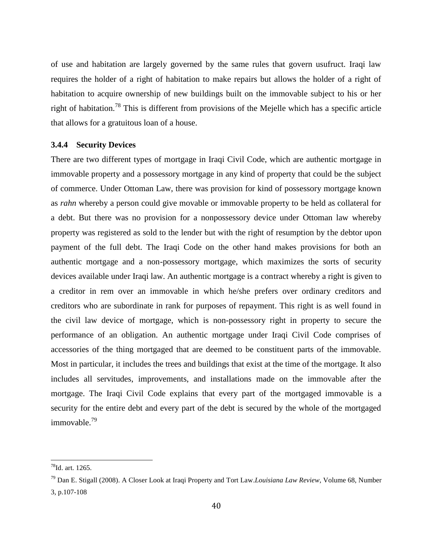of use and habitation are largely governed by the same rules that govern usufruct. Iraqi law requires the holder of a right of habitation to make repairs but allows the holder of a right of habitation to acquire ownership of new buildings built on the immovable subject to his or her right of habitation.<sup>78</sup> This is different from provisions of the Mejelle which has a specific article that allows for a gratuitous loan of a house.

#### **3.4.4 Security Devices**

There are two different types of mortgage in Iraqi Civil Code, which are authentic mortgage in immovable property and a possessory mortgage in any kind of property that could be the subject of commerce. Under Ottoman Law, there was provision for kind of possessory mortgage known as *rahn* whereby a person could give movable or immovable property to be held as collateral for a debt. But there was no provision for a nonpossessory device under Ottoman law whereby property was registered as sold to the lender but with the right of resumption by the debtor upon payment of the full debt. The Iraqi Code on the other hand makes provisions for both an authentic mortgage and a non-possessory mortgage, which maximizes the sorts of security devices available under Iraqi law. An authentic mortgage is a contract whereby a right is given to a creditor in rem over an immovable in which he/she prefers over ordinary creditors and creditors who are subordinate in rank for purposes of repayment. This right is as well found in the civil law device of mortgage, which is non-possessory right in property to secure the performance of an obligation. An authentic mortgage under Iraqi Civil Code comprises of accessories of the thing mortgaged that are deemed to be constituent parts of the immovable. Most in particular, it includes the trees and buildings that exist at the time of the mortgage. It also includes all servitudes, improvements, and installations made on the immovable after the mortgage. The Iraqi Civil Code explains that every part of the mortgaged immovable is a security for the entire debt and every part of the debt is secured by the whole of the mortgaged immovable.<sup>79</sup>

<sup>78</sup>Id. art. 1265.

<sup>79</sup> Dan E. Stigall (2008). A Closer Look at Iraqi Property and Tort Law.*Louisiana Law Review*, Volume 68, Number 3, p.107-108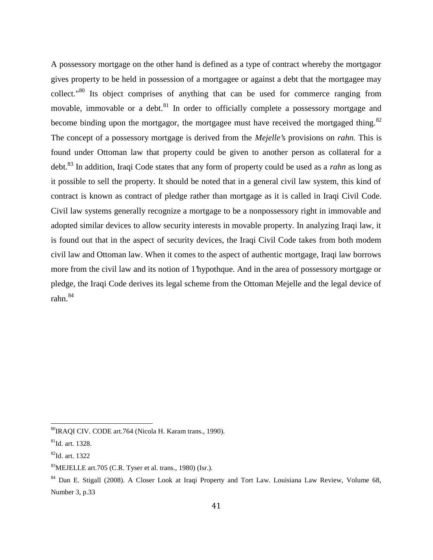A possessory mortgage on the other hand is defined as a type of contract whereby the mortgagor gives property to be held in possession of a mortgagee or against a debt that the mortgagee may collect."<sup>80</sup> Its object comprises of anything that can be used for commerce ranging from movable, immovable or a debt. $81$  In order to officially complete a possessory mortgage and become binding upon the mortgagor, the mortgagee must have received the mortgaged thing.<sup>82</sup> The concept of a possessory mortgage is derived from the *Mejelle'*s provisions on *rahn.* This is found under Ottoman law that property could be given to another person as collateral for a debt.<sup>83</sup> In addition, Iraqi Code states that any form of property could be used as a *rahn* as long as it possible to sell the property. It should be noted that in a general civil law system, this kind of contract is known as contract of pledge rather than mortgage as it is called in Iraqi Civil Code. Civil law systems generally recognize a mortgage to be a nonpossessory right in immovable and adopted similar devices to allow security interests in movable property. In analyzing Iraqi law, it is found out that in the aspect of security devices, the Iraqi Civil Code takes from both modem civil law and Ottoman law. When it comes to the aspect of authentic mortgage, Iraqi law borrows more from the civil law and its notion of 1'hypothque. And in the area of possessory mortgage or pledge, the Iraqi Code derives its legal scheme from the Ottoman Mejelle and the legal device of rahn.<sup>84</sup>

<sup>80</sup>IRAQI CIV. CODE art.764 (Nicola H. Karam trans., 1990).

 ${}^{81}$ Id. art. 1328.

<sup>82</sup>Id. art. 1322

<sup>83</sup>MEJELLE art.705 (C.R. Tyser et al. trans., 1980) (Isr.).

<sup>84</sup> Dan E. Stigall (2008). A Closer Look at Iraqi Property and Tort Law. Louisiana Law Review, Volume 68, Number 3, p.33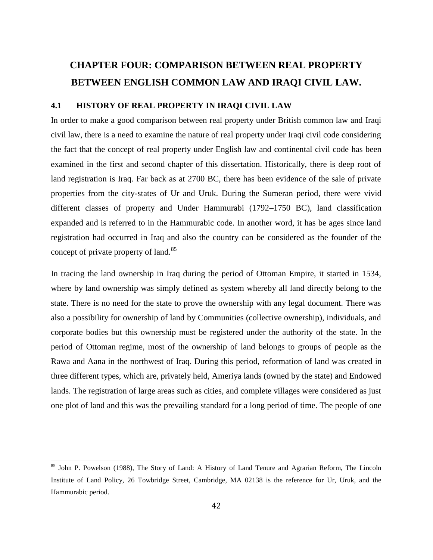## **CHAPTER FOUR: COMPARISON BETWEEN REAL PROPERTY BETWEEN ENGLISH COMMON LAW AND IRAQI CIVIL LAW.**

#### **4.1 HISTORY OF REAL PROPERTY IN IRAQI CIVIL LAW**

In order to make a good comparison between real property under British common law and Iraqi civil law, there is a need to examine the nature of real property under Iraqi civil code considering the fact that the concept of real property under English law and continental civil code has been examined in the first and second chapter of this dissertation. Historically, there is deep root of land registration is Iraq. Far back as at 2700 BC, there has been evidence of the sale of private properties from the city-states of Ur and Uruk. During the Sumeran period, there were vivid different classes of property and Under Hammurabi (1792–1750 BC), land classification expanded and is referred to in the Hammurabic code. In another word, it has be ages since land registration had occurred in Iraq and also the country can be considered as the founder of the concept of private property of land.<sup>85</sup>

In tracing the land ownership in Iraq during the period of Ottoman Empire, it started in 1534, where by land ownership was simply defined as system whereby all land directly belong to the state. There is no need for the state to prove the ownership with any legal document. There was also a possibility for ownership of land by Communities (collective ownership), individuals, and corporate bodies but this ownership must be registered under the authority of the state. In the period of Ottoman regime, most of the ownership of land belongs to groups of people as the Rawa and Aana in the northwest of Iraq. During this period, reformation of land was created in three different types, which are, privately held, Ameriya lands (owned by the state) and Endowed lands. The registration of large areas such as cities, and complete villages were considered as just one plot of land and this was the prevailing standard for a long period of time. The people of one

<sup>&</sup>lt;sup>85</sup> John P. Powelson (1988), The Story of Land: A History of Land Tenure and Agrarian Reform, The Lincoln Institute of Land Policy, 26 Towbridge Street, Cambridge, MA 02138 is the reference for Ur, Uruk, and the Hammurabic period.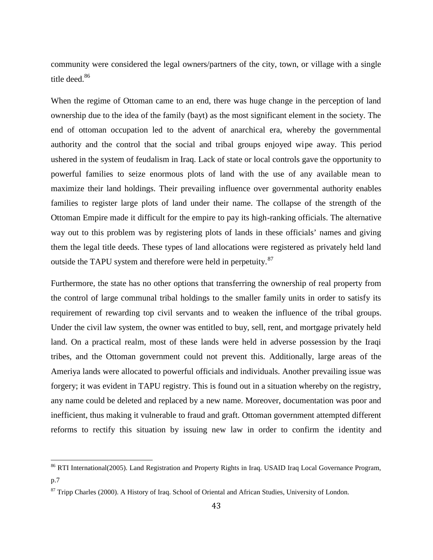community were considered the legal owners/partners of the city, town, or village with a single title deed.<sup>86</sup>

When the regime of Ottoman came to an end, there was huge change in the perception of land ownership due to the idea of the family (bayt) as the most significant element in the society. The end of ottoman occupation led to the advent of anarchical era, whereby the governmental authority and the control that the social and tribal groups enjoyed wipe away. This period ushered in the system of feudalism in Iraq. Lack of state or local controls gave the opportunity to powerful families to seize enormous plots of land with the use of any available mean to maximize their land holdings. Their prevailing influence over governmental authority enables families to register large plots of land under their name. The collapse of the strength of the Ottoman Empire made it difficult for the empire to pay its high-ranking officials. The alternative way out to this problem was by registering plots of lands in these officials' names and giving them the legal title deeds. These types of land allocations were registered as privately held land outside the TAPU system and therefore were held in perpetuity.<sup>87</sup>

Furthermore, the state has no other options that transferring the ownership of real property from the control of large communal tribal holdings to the smaller family units in order to satisfy its requirement of rewarding top civil servants and to weaken the influence of the tribal groups. Under the civil law system, the owner was entitled to buy, sell, rent, and mortgage privately held land. On a practical realm, most of these lands were held in adverse possession by the Iraqi tribes, and the Ottoman government could not prevent this. Additionally, large areas of the Ameriya lands were allocated to powerful officials and individuals. Another prevailing issue was forgery; it was evident in TAPU registry. This is found out in a situation whereby on the registry, any name could be deleted and replaced by a new name. Moreover, documentation was poor and inefficient, thus making it vulnerable to fraud and graft. Ottoman government attempted different reforms to rectify this situation by issuing new law in order to confirm the identity and

<sup>&</sup>lt;sup>86</sup> RTI International(2005). Land Registration and Property Rights in Iraq. USAID Iraq Local Governance Program, p.7

<sup>&</sup>lt;sup>87</sup> Tripp Charles (2000). A History of Iraq. School of Oriental and African Studies, University of London.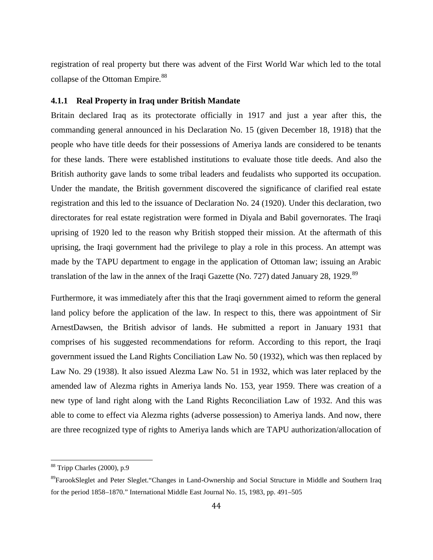registration of real property but there was advent of the First World War which led to the total collapse of the Ottoman Empire.<sup>88</sup>

#### **4.1.1 Real Property in Iraq under British Mandate**

Britain declared Iraq as its protectorate officially in 1917 and just a year after this, the commanding general announced in his Declaration No. 15 (given December 18, 1918) that the people who have title deeds for their possessions of Ameriya lands are considered to be tenants for these lands. There were established institutions to evaluate those title deeds. And also the British authority gave lands to some tribal leaders and feudalists who supported its occupation. Under the mandate, the British government discovered the significance of clarified real estate registration and this led to the issuance of Declaration No. 24 (1920). Under this declaration, two directorates for real estate registration were formed in Diyala and Babil governorates. The Iraqi uprising of 1920 led to the reason why British stopped their mission. At the aftermath of this uprising, the Iraqi government had the privilege to play a role in this process. An attempt was made by the TAPU department to engage in the application of Ottoman law; issuing an Arabic translation of the law in the annex of the Iraqi Gazette (No. 727) dated January 28, 1929.<sup>89</sup>

Furthermore, it was immediately after this that the Iraqi government aimed to reform the general land policy before the application of the law. In respect to this, there was appointment of Sir ArnestDawsen, the British advisor of lands. He submitted a report in January 1931 that comprises of his suggested recommendations for reform. According to this report, the Iraqi government issued the Land Rights Conciliation Law No. 50 (1932), which was then replaced by Law No. 29 (1938). It also issued Alezma Law No. 51 in 1932, which was later replaced by the amended law of Alezma rights in Ameriya lands No. 153, year 1959. There was creation of a new type of land right along with the Land Rights Reconciliation Law of 1932. And this was able to come to effect via Alezma rights (adverse possession) to Ameriya lands. And now, there are three recognized type of rights to Ameriya lands which are TAPU authorization/allocation of

<sup>88</sup> Tripp Charles (2000), p.9

<sup>89</sup>FarookSleglet and Peter Sleglet."Changes in Land-Ownership and Social Structure in Middle and Southern Iraq for the period 1858–1870." International Middle East Journal No. 15, 1983, pp. 491–505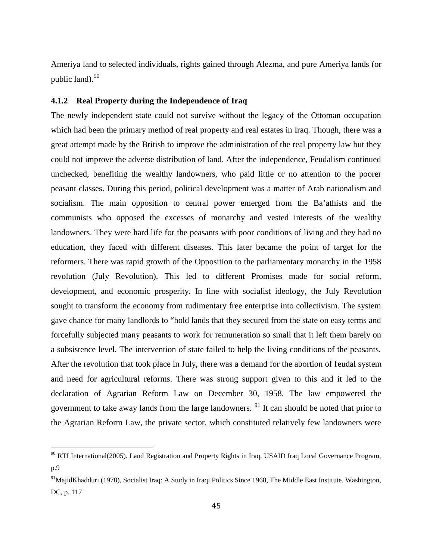Ameriya land to selected individuals, rights gained through Alezma, and pure Ameriya lands (or public land). $90$ 

#### **4.1.2 Real Property during the Independence of Iraq**

The newly independent state could not survive without the legacy of the Ottoman occupation which had been the primary method of real property and real estates in Iraq. Though, there was a great attempt made by the British to improve the administration of the real property law but they could not improve the adverse distribution of land. After the independence, Feudalism continued unchecked, benefiting the wealthy landowners, who paid little or no attention to the poorer peasant classes. During this period, political development was a matter of Arab nationalism and socialism. The main opposition to central power emerged from the Ba'athists and the communists who opposed the excesses of monarchy and vested interests of the wealthy landowners. They were hard life for the peasants with poor conditions of living and they had no education, they faced with different diseases. This later became the point of target for the reformers. There was rapid growth of the Opposition to the parliamentary monarchy in the 1958 revolution (July Revolution). This led to different Promises made for social reform, development, and economic prosperity. In line with socialist ideology, the July Revolution sought to transform the economy from rudimentary free enterprise into collectivism. The system gave chance for many landlords to "hold lands that they secured from the state on easy terms and forcefully subjected many peasants to work for remuneration so small that it left them barely on a subsistence level. The intervention of state failed to help the living conditions of the peasants. After the revolution that took place in July, there was a demand for the abortion of feudal system and need for agricultural reforms. There was strong support given to this and it led to the declaration of Agrarian Reform Law on December 30, 1958. The law empowered the government to take away lands from the large landowners.  $91$  It can should be noted that prior to the Agrarian Reform Law, the private sector, which constituted relatively few landowners were

<sup>&</sup>lt;sup>90</sup> RTI International(2005). Land Registration and Property Rights in Iraq. USAID Iraq Local Governance Program, p.9

<sup>&</sup>lt;sup>91</sup>MajidKhadduri (1978), Socialist Iraq: A Study in Iraqi Politics Since 1968, The Middle East Institute, Washington, DC, p. 117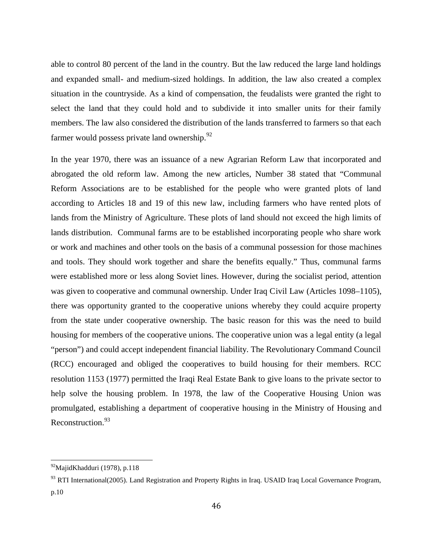able to control 80 percent of the land in the country. But the law reduced the large land holdings and expanded small- and medium-sized holdings. In addition, the law also created a complex situation in the countryside. As a kind of compensation, the feudalists were granted the right to select the land that they could hold and to subdivide it into smaller units for their family members. The law also considered the distribution of the lands transferred to farmers so that each farmer would possess private land ownership. $92$ 

In the year 1970, there was an issuance of a new Agrarian Reform Law that incorporated and abrogated the old reform law. Among the new articles, Number 38 stated that "Communal Reform Associations are to be established for the people who were granted plots of land according to Articles 18 and 19 of this new law, including farmers who have rented plots of lands from the Ministry of Agriculture. These plots of land should not exceed the high limits of lands distribution. Communal farms are to be established incorporating people who share work or work and machines and other tools on the basis of a communal possession for those machines and tools. They should work together and share the benefits equally." Thus, communal farms were established more or less along Soviet lines. However, during the socialist period, attention was given to cooperative and communal ownership. Under Iraq Civil Law (Articles 1098–1105), there was opportunity granted to the cooperative unions whereby they could acquire property from the state under cooperative ownership. The basic reason for this was the need to build housing for members of the cooperative unions. The cooperative union was a legal entity (a legal "person") and could accept independent financial liability. The Revolutionary Command Council (RCC) encouraged and obliged the cooperatives to build housing for their members. RCC resolution 1153 (1977) permitted the Iraqi Real Estate Bank to give loans to the private sector to help solve the housing problem. In 1978, the law of the Cooperative Housing Union was promulgated, establishing a department of cooperative housing in the Ministry of Housing and Reconstruction.<sup>93</sup>

<sup>92</sup>MajidKhadduri (1978), p.118

<sup>93</sup> RTI International(2005). Land Registration and Property Rights in Iraq. USAID Iraq Local Governance Program, p.10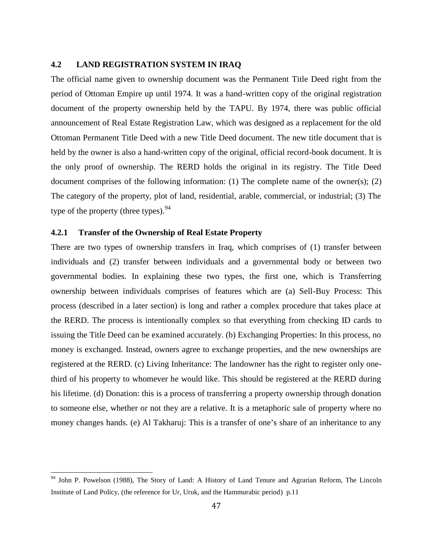#### **4.2 LAND REGISTRATION SYSTEM IN IRAQ**

The official name given to ownership document was the Permanent Title Deed right from the period of Ottoman Empire up until 1974. It was a hand-written copy of the original registration document of the property ownership held by the TAPU. By 1974, there was public official announcement of Real Estate Registration Law, which was designed as a replacement for the old Ottoman Permanent Title Deed with a new Title Deed document. The new title document that is held by the owner is also a hand-written copy of the original, official record-book document. It is the only proof of ownership. The RERD holds the original in its registry. The Title Deed document comprises of the following information: (1) The complete name of the owner(s); (2) The category of the property, plot of land, residential, arable, commercial, or industrial; (3) The type of the property (three types).<sup>94</sup>

#### **4.2.1 Transfer of the Ownership of Real Estate Property**

There are two types of ownership transfers in Iraq, which comprises of (1) transfer between individuals and (2) transfer between individuals and a governmental body or between two governmental bodies. In explaining these two types, the first one, which is Transferring ownership between individuals comprises of features which are (a) Sell-Buy Process: This process (described in a later section) is long and rather a complex procedure that takes place at the RERD. The process is intentionally complex so that everything from checking ID cards to issuing the Title Deed can be examined accurately. (b) Exchanging Properties: In this process, no money is exchanged. Instead, owners agree to exchange properties, and the new ownerships are registered at the RERD. (c) Living Inheritance: The landowner has the right to register only onethird of his property to whomever he would like. This should be registered at the RERD during his lifetime. (d) Donation: this is a process of transferring a property ownership through donation to someone else, whether or not they are a relative. It is a metaphoric sale of property where no money changes hands. (e) Al Takharuj: This is a transfer of one's share of an inheritance to any

 $94$  John P. Powelson (1988), The Story of Land: A History of Land Tenure and Agrarian Reform, The Lincoln Institute of Land Policy, (the reference for Ur, Uruk, and the Hammurabic period) p.11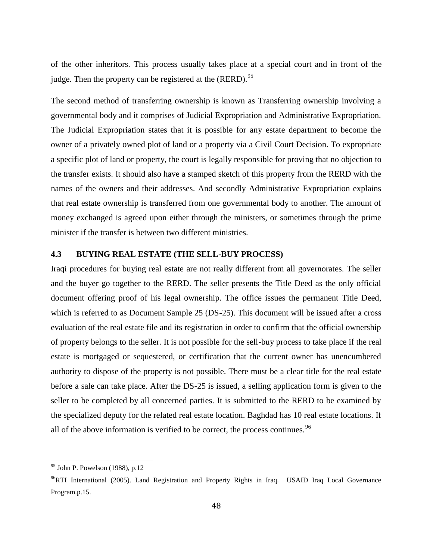of the other inheritors. This process usually takes place at a special court and in front of the judge. Then the property can be registered at the  $(RERD)$ .<sup>95</sup>

The second method of transferring ownership is known as Transferring ownership involving a governmental body and it comprises of Judicial Expropriation and Administrative Expropriation. The Judicial Expropriation states that it is possible for any estate department to become the owner of a privately owned plot of land or a property via a Civil Court Decision. To expropriate a specific plot of land or property, the court is legally responsible for proving that no objection to the transfer exists. It should also have a stamped sketch of this property from the RERD with the names of the owners and their addresses. And secondly Administrative Expropriation explains that real estate ownership is transferred from one governmental body to another. The amount of money exchanged is agreed upon either through the ministers, or sometimes through the prime minister if the transfer is between two different ministries.

#### **4.3 BUYING REAL ESTATE (THE SELL-BUY PROCESS)**

Iraqi procedures for buying real estate are not really different from all governorates. The seller and the buyer go together to the RERD. The seller presents the Title Deed as the only official document offering proof of his legal ownership. The office issues the permanent Title Deed, which is referred to as Document Sample 25 (DS-25). This document will be issued after a cross evaluation of the real estate file and its registration in order to confirm that the official ownership of property belongs to the seller. It is not possible for the sell-buy process to take place if the real estate is mortgaged or sequestered, or certification that the current owner has unencumbered authority to dispose of the property is not possible. There must be a clear title for the real estate before a sale can take place. After the DS-25 is issued, a selling application form is given to the seller to be completed by all concerned parties. It is submitted to the RERD to be examined by the specialized deputy for the related real estate location. Baghdad has 10 real estate locations. If all of the above information is verified to be correct, the process continues.<sup>96</sup>

<sup>95</sup> John P. Powelson (1988), p.12

<sup>&</sup>lt;sup>96</sup>RTI International (2005). Land Registration and Property Rights in Iraq. USAID Iraq Local Governance Program.p.15.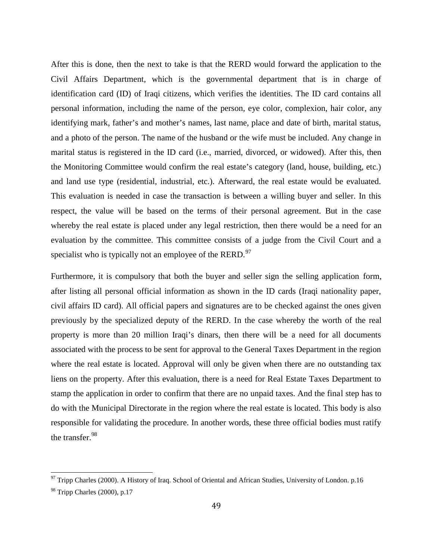After this is done, then the next to take is that the RERD would forward the application to the Civil Affairs Department, which is the governmental department that is in charge of identification card (ID) of Iraqi citizens, which verifies the identities. The ID card contains all personal information, including the name of the person, eye color, complexion, hair color, any identifying mark, father's and mother's names, last name, place and date of birth, marital status, and a photo of the person. The name of the husband or the wife must be included. Any change in marital status is registered in the ID card (i.e., married, divorced, or widowed). After this, then the Monitoring Committee would confirm the real estate's category (land, house, building, etc.) and land use type (residential, industrial, etc.). Afterward, the real estate would be evaluated. This evaluation is needed in case the transaction is between a willing buyer and seller. In this respect, the value will be based on the terms of their personal agreement. But in the case whereby the real estate is placed under any legal restriction, then there would be a need for an evaluation by the committee. This committee consists of a judge from the Civil Court and a specialist who is typically not an employee of the RERD.<sup>97</sup>

Furthermore, it is compulsory that both the buyer and seller sign the selling application form, after listing all personal official information as shown in the ID cards (Iraqi nationality paper, civil affairs ID card). All official papers and signatures are to be checked against the ones given previously by the specialized deputy of the RERD. In the case whereby the worth of the real property is more than 20 million Iraqi's dinars, then there will be a need for all documents associated with the process to be sent for approval to the General Taxes Department in the region where the real estate is located. Approval will only be given when there are no outstanding tax liens on the property. After this evaluation, there is a need for Real Estate Taxes Department to stamp the application in order to confirm that there are no unpaid taxes. And the final step has to do with the Municipal Directorate in the region where the real estate is located. This body is also responsible for validating the procedure. In another words, these three official bodies must ratify the transfer.<sup>98</sup>

 $97$  Tripp Charles (2000). A History of Iraq. School of Oriental and African Studies, University of London. p.16

 $98$  Tripp Charles (2000), p.17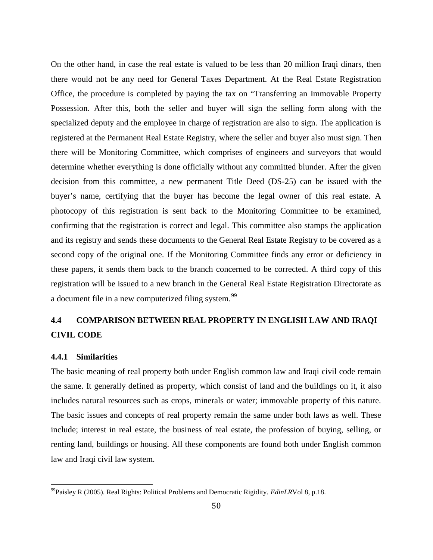On the other hand, in case the real estate is valued to be less than 20 million Iraqi dinars, then there would not be any need for General Taxes Department. At the Real Estate Registration Office, the procedure is completed by paying the tax on "Transferring an Immovable Property Possession. After this, both the seller and buyer will sign the selling form along with the specialized deputy and the employee in charge of registration are also to sign. The application is registered at the Permanent Real Estate Registry, where the seller and buyer also must sign. Then there will be Monitoring Committee, which comprises of engineers and surveyors that would determine whether everything is done officially without any committed blunder. After the given decision from this committee, a new permanent Title Deed (DS-25) can be issued with the buyer's name, certifying that the buyer has become the legal owner of this real estate. A photocopy of this registration is sent back to the Monitoring Committee to be examined, confirming that the registration is correct and legal. This committee also stamps the application and its registry and sends these documents to the General Real Estate Registry to be covered as a second copy of the original one. If the Monitoring Committee finds any error or deficiency in these papers, it sends them back to the branch concerned to be corrected. A third copy of this registration will be issued to a new branch in the General Real Estate Registration Directorate as a document file in a new computerized filing system.<sup>99</sup>

### **4.4 COMPARISON BETWEEN REAL PROPERTY IN ENGLISH LAW AND IRAQI CIVIL CODE**

#### **4.4.1 Similarities**

The basic meaning of real property both under English common law and Iraqi civil code remain the same. It generally defined as property, which consist of land and the buildings on it, it also includes natural resources such as crops, minerals or water; immovable property of this nature. The basic issues and concepts of real property remain the same under both laws as well. These include; interest in real estate, the business of real estate, the profession of buying, selling, or renting land, buildings or housing. All these components are found both under English common law and Iraqi civil law system.

<sup>99</sup>Paisley R (2005). Real Rights: Political Problems and Democratic Rigidity. *EdinLR*Vol 8, p.18.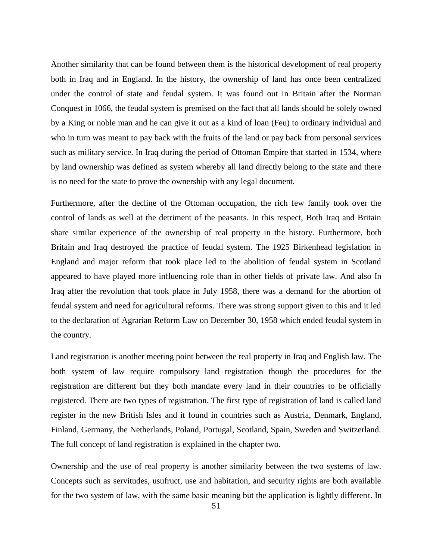Another similarity that can be found between them is the historical development of real property both in Iraq and in England. In the history, the ownership of land has once been centralized under the control of state and feudal system. It was found out in Britain after the Norman Conquest in 1066, the feudal system is premised on the fact that all lands should be solely owned by a King or noble man and he can give it out as a kind of loan (Feu) to ordinary individual and who in turn was meant to pay back with the fruits of the land or pay back from personal services such as military service. In Iraq during the period of Ottoman Empire that started in 1534, where by land ownership was defined as system whereby all land directly belong to the state and there is no need for the state to prove the ownership with any legal document.

Furthermore, after the decline of the Ottoman occupation, the rich few family took over the control of lands as well at the detriment of the peasants. In this respect, Both Iraq and Britain share similar experience of the ownership of real property in the history. Furthermore, both Britain and Iraq destroyed the practice of feudal system. The 1925 Birkenhead legislation in England and major reform that took place led to the abolition of feudal system in Scotland appeared to have played more influencing role than in other fields of private law. And also In Iraq after the revolution that took place in July 1958, there was a demand for the abortion of feudal system and need for agricultural reforms. There was strong support given to this and it led to the declaration of Agrarian Reform Law on December 30, 1958 which ended feudal system in the country.

Land registration is another meeting point between the real property in Iraq and English law. The both system of law require compulsory land registration though the procedures for the registration are different but they both mandate every land in their countries to be officially registered. There are two types of registration. The first type of registration of land is called land register in the new British Isles and it found in countries such as Austria, Denmark, England, Finland, Germany, the Netherlands, Poland, Portugal, Scotland, Spain, Sweden and Switzerland. The full concept of land registration is explained in the chapter two.

Ownership and the use of real property is another similarity between the two systems of law. Concepts such as servitudes, usufruct, use and habitation, and security rights are both available for the two system of law, with the same basic meaning but the application is lightly different. In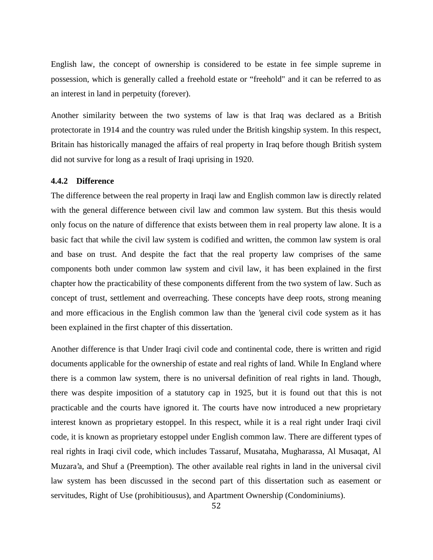English law, the concept of ownership is considered to be estate in fee simple supreme in possession, which is generally called a freehold estate or "freehold" and it can be referred to as an interest in land in perpetuity (forever).

Another similarity between the two systems of law is that Iraq was declared as a British protectorate in 1914 and the country was ruled under the British kingship system. In this respect, Britain has historically managed the affairs of real property in Iraq before though British system did not survive for long as a result of Iraqi uprising in 1920.

#### **4.4.2 Difference**

The difference between the real property in Iraqi law and English common law is directly related with the general difference between civil law and common law system. But this thesis would only focus on the nature of difference that exists between them in real property law alone. It is a basic fact that while the civil law system is codified and written, the common law system is oral and base on trust. And despite the fact that the real property law comprises of the same components both under common law system and civil law, it has been explained in the first chapter how the practicability of these components different from the two system of law. Such as concept of trust, settlement and overreaching. These concepts have deep roots, strong meaning and more efficacious in the English common law than the 'general civil code system as it has been explained in the first chapter of this dissertation.

Another difference is that Under Iraqi civil code and continental code, there is written and rigid documents applicable for the ownership of estate and real rights of land. While In England where there is a common law system, there is no universal definition of real rights in land. Though, there was despite imposition of a statutory cap in 1925, but it is found out that this is not practicable and the courts have ignored it. The courts have now introduced a new proprietary interest known as proprietary estoppel. In this respect, while it is a real right under Iraqi civil code, it is known as proprietary estoppel under English common law. There are different types of real rights in Iraqi civil code, which includes Tassaruf, Musataha, Mugharassa, Al Musaqat, Al Muzara'a, and Shuf a (Preemption). The other available real rights in land in the universal civil law system has been discussed in the second part of this dissertation such as easement or servitudes, Right of Use (prohibitiousus), and Apartment Ownership (Condominiums).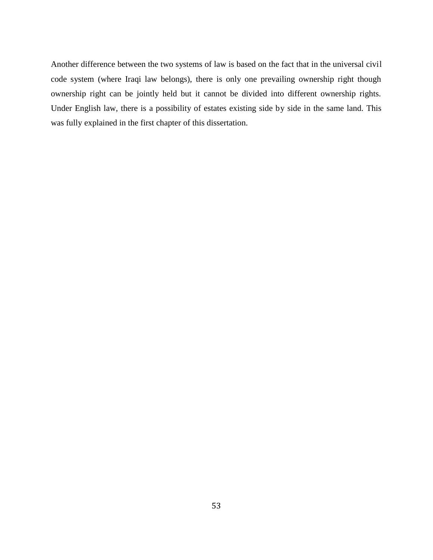Another difference between the two systems of law is based on the fact that in the universal civil code system (where Iraqi law belongs), there is only one prevailing ownership right though ownership right can be jointly held but it cannot be divided into different ownership rights. Under English law, there is a possibility of estates existing side by side in the same land. This was fully explained in the first chapter of this dissertation.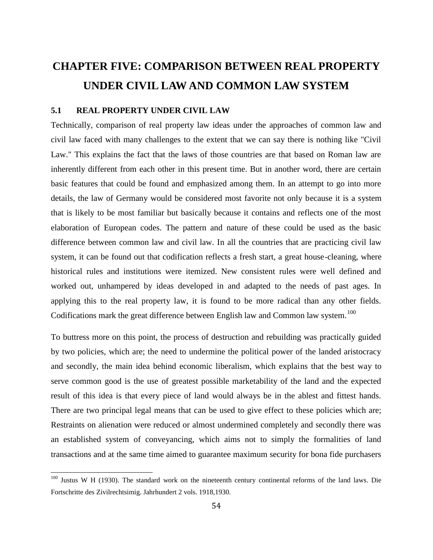# **CHAPTER FIVE: COMPARISON BETWEEN REAL PROPERTY UNDER CIVIL LAW AND COMMON LAW SYSTEM**

#### **5.1 REAL PROPERTY UNDER CIVIL LAW**

Technically, comparison of real property law ideas under the approaches of common law and civil law faced with many challenges to the extent that we can say there is nothing like "Civil Law." This explains the fact that the laws of those countries are that based on Roman law are inherently different from each other in this present time. But in another word, there are certain basic features that could be found and emphasized among them. In an attempt to go into more details, the law of Germany would be considered most favorite not only because it is a system that is likely to be most familiar but basically because it contains and reflects one of the most elaboration of European codes. The pattern and nature of these could be used as the basic difference between common law and civil law. In all the countries that are practicing civil law system, it can be found out that codification reflects a fresh start, a great house-cleaning, where historical rules and institutions were itemized. New consistent rules were well defined and worked out, unhampered by ideas developed in and adapted to the needs of past ages. In applying this to the real property law, it is found to be more radical than any other fields. Codifications mark the great difference between English law and Common law system.<sup>100</sup>

To buttress more on this point, the process of destruction and rebuilding was practically guided by two policies, which are; the need to undermine the political power of the landed aristocracy and secondly, the main idea behind economic liberalism, which explains that the best way to serve common good is the use of greatest possible marketability of the land and the expected result of this idea is that every piece of land would always be in the ablest and fittest hands. There are two principal legal means that can be used to give effect to these policies which are; Restraints on alienation were reduced or almost undermined completely and secondly there was an established system of conveyancing, which aims not to simply the formalities of land transactions and at the same time aimed to guarantee maximum security for bona fide purchasers

<sup>&</sup>lt;sup>100</sup> Justus W H (1930). The standard work on the nineteenth century continental reforms of the land laws. Die Fortschritte des Zivilrechtsimig. Jahrhundert 2 vols. 1918,1930.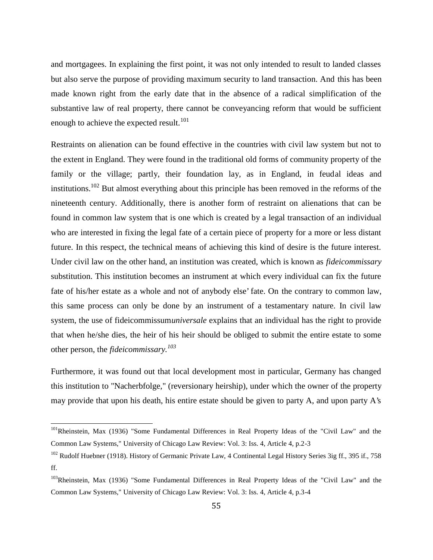and mortgagees. In explaining the first point, it was not only intended to result to landed classes but also serve the purpose of providing maximum security to land transaction. And this has been made known right from the early date that in the absence of a radical simplification of the substantive law of real property, there cannot be conveyancing reform that would be sufficient enough to achieve the expected result.<sup>101</sup>

Restraints on alienation can be found effective in the countries with civil law system but not to the extent in England. They were found in the traditional old forms of community property of the family or the village; partly, their foundation lay, as in England, in feudal ideas and institutions.<sup>102</sup> But almost everything about this principle has been removed in the reforms of the nineteenth century. Additionally, there is another form of restraint on alienations that can be found in common law system that is one which is created by a legal transaction of an individual who are interested in fixing the legal fate of a certain piece of property for a more or less distant future. In this respect, the technical means of achieving this kind of desire is the future interest. Under civil law on the other hand, an institution was created, which is known as *fideicommissary* substitution. This institution becomes an instrument at which every individual can fix the future fate of his/her estate as a whole and not of anybody else' fate. On the contrary to common law, this same process can only be done by an instrument of a testamentary nature. In civil law system, the use of fideicommissum*universale* explains that an individual has the right to provide that when he/she dies, the heir of his heir should be obliged to submit the entire estate to some other person, the *fideicommissary.<sup>103</sup>*

Furthermore, it was found out that local development most in particular, Germany has changed this institution to "Nacherbfolge," (reversionary heirship), under which the owner of the property may provide that upon his death, his entire estate should be given to party A, and upon party A's

<sup>&</sup>lt;sup>101</sup>Rheinstein, Max (1936) "Some Fundamental Differences in Real Property Ideas of the "Civil Law" and the Common Law Systems," University of Chicago Law Review: Vol. 3: Iss. 4, Article 4, p.2-3

<sup>&</sup>lt;sup>102</sup> Rudolf Huebner (1918). History of Germanic Private Law, 4 Continental Legal History Series 3ig ff., 395 if., 758 ff.

<sup>&</sup>lt;sup>103</sup>Rheinstein, Max (1936) "Some Fundamental Differences in Real Property Ideas of the "Civil Law" and the Common Law Systems," University of Chicago Law Review: Vol. 3: Iss. 4, Article 4, p.3-4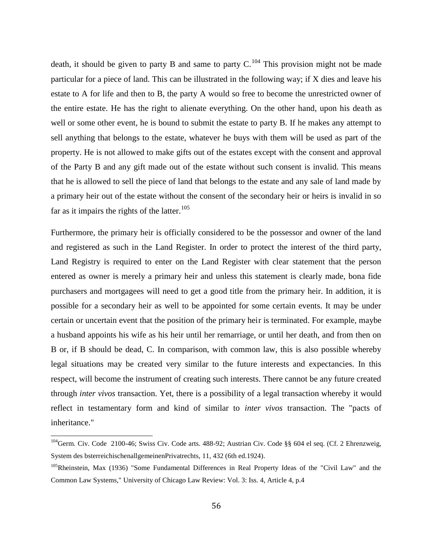death, it should be given to party B and same to party  $C^{104}$ . This provision might not be made particular for a piece of land. This can be illustrated in the following way; if X dies and leave his estate to A for life and then to B, the party A would so free to become the unrestricted owner of the entire estate. He has the right to alienate everything. On the other hand, upon his death as well or some other event, he is bound to submit the estate to party B. If he makes any attempt to sell anything that belongs to the estate, whatever he buys with them will be used as part of the property. He is not allowed to make gifts out of the estates except with the consent and approval of the Party B and any gift made out of the estate without such consent is invalid. This means that he is allowed to sell the piece of land that belongs to the estate and any sale of land made by a primary heir out of the estate without the consent of the secondary heir or heirs is invalid in so far as it impairs the rights of the latter. $105$ 

Furthermore, the primary heir is officially considered to be the possessor and owner of the land and registered as such in the Land Register. In order to protect the interest of the third party, Land Registry is required to enter on the Land Register with clear statement that the person entered as owner is merely a primary heir and unless this statement is clearly made, bona fide purchasers and mortgagees will need to get a good title from the primary heir. In addition, it is possible for a secondary heir as well to be appointed for some certain events. It may be under certain or uncertain event that the position of the primary heir is terminated. For example, maybe a husband appoints his wife as his heir until her remarriage, or until her death, and from then on B or, if B should be dead, C. In comparison, with common law, this is also possible whereby legal situations may be created very similar to the future interests and expectancies. In this respect, will become the instrument of creating such interests. There cannot be any future created through *inter vivos* transaction. Yet, there is a possibility of a legal transaction whereby it would reflect in testamentary form and kind of similar to *inter vivos* transaction. The "pacts of inheritance."

<sup>&</sup>lt;sup>104</sup>Germ. Civ. Code 2100-46; Swiss Civ. Code arts. 488-92; Austrian Civ. Code §§ 604 el seq. (Cf. 2 Ehrenzweig, System des bsterreichischenallgemeinenPrivatrechts, 11, 432 (6th ed.1924).

<sup>&</sup>lt;sup>105</sup>Rheinstein, Max (1936) "Some Fundamental Differences in Real Property Ideas of the "Civil Law" and the Common Law Systems," University of Chicago Law Review: Vol. 3: Iss. 4, Article 4, p.4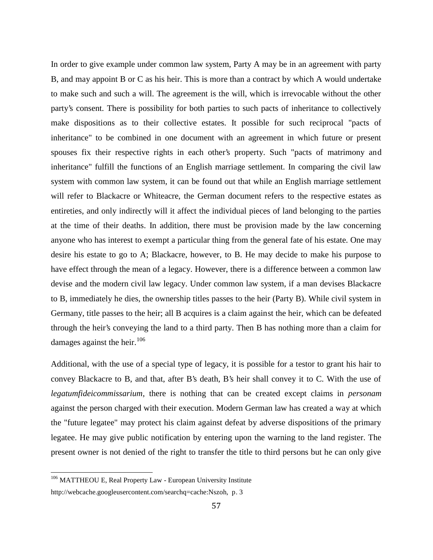In order to give example under common law system, Party A may be in an agreement with party B, and may appoint B or C as his heir. This is more than a contract by which A would undertake to make such and such a will. The agreement is the will, which is irrevocable without the other party's consent. There is possibility for both parties to such pacts of inheritance to collectively make dispositions as to their collective estates. It possible for such reciprocal "pacts of inheritance" to be combined in one document with an agreement in which future or present spouses fix their respective rights in each other's property. Such "pacts of matrimony and inheritance" fulfill the functions of an English marriage settlement. In comparing the civil law system with common law system, it can be found out that while an English marriage settlement will refer to Blackacre or Whiteacre, the German document refers to the respective estates as entireties, and only indirectly will it affect the individual pieces of land belonging to the parties at the time of their deaths. In addition, there must be provision made by the law concerning anyone who has interest to exempt a particular thing from the general fate of his estate. One may desire his estate to go to A; Blackacre, however, to B. He may decide to make his purpose to have effect through the mean of a legacy. However, there is a difference between a common law devise and the modern civil law legacy. Under common law system, if a man devises Blackacre to B, immediately he dies, the ownership titles passes to the heir (Party B). While civil system in Germany, title passes to the heir; all B acquires is a claim against the heir, which can be defeated through the heir's conveying the land to a third party. Then B has nothing more than a claim for damages against the heir. $106$ 

Additional, with the use of a special type of legacy, it is possible for a testor to grant his hair to convey Blackacre to B, and that, after B's death, B's heir shall convey it to C. With the use of *legatumfideicommissarium*, there is nothing that can be created except claims in *personam* against the person charged with their execution. Modern German law has created a way at which the "future legatee" may protect his claim against defeat by adverse dispositions of the primary legatee. He may give public notification by entering upon the warning to the land register. The present owner is not denied of the right to transfer the title to third persons but he can only give

<sup>&</sup>lt;sup>106</sup> MATTHEOU E, Real Property Law - European University Institute

http://webcache.googleusercontent.com/searchq=cache:Nszoh, p. 3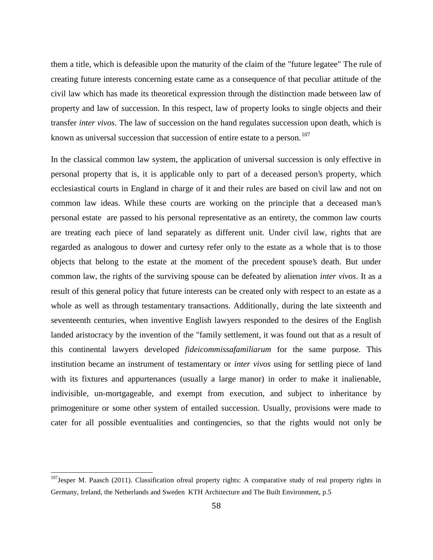them a title, which is defeasible upon the maturity of the claim of the "future legatee" The rule of creating future interests concerning estate came as a consequence of that peculiar attitude of the civil law which has made its theoretical expression through the distinction made between law of property and law of succession. In this respect, law of property looks to single objects and their transfer *inter vivos*. The law of succession on the hand regulates succession upon death, which is known as universal succession that succession of entire estate to a person.<sup>107</sup>

In the classical common law system, the application of universal succession is only effective in personal property that is, it is applicable only to part of a deceased person's property, which ecclesiastical courts in England in charge of it and their rules are based on civil law and not on common law ideas. While these courts are working on the principle that a deceased man's personal estate are passed to his personal representative as an entirety, the common law courts are treating each piece of land separately as different unit. Under civil law, rights that are regarded as analogous to dower and curtesy refer only to the estate as a whole that is to those objects that belong to the estate at the moment of the precedent spouse's death. But under common law, the rights of the surviving spouse can be defeated by alienation *inter vivos*. It as a result of this general policy that future interests can be created only with respect to an estate as a whole as well as through testamentary transactions. Additionally, during the late sixteenth and seventeenth centuries, when inventive English lawyers responded to the desires of the English landed aristocracy by the invention of the "family settlement, it was found out that as a result of this continental lawyers developed *fideicommissafamiliarum* for the same purpose. This institution became an instrument of testamentary or *inter vivos* using for settling piece of land with its fixtures and appurtenances (usually a large manor) in order to make it inalienable, indivisible, un-mortgageable, and exempt from execution, and subject to inheritance by primogeniture or some other system of entailed succession. Usually, provisions were made to cater for all possible eventualities and contingencies, so that the rights would not only be

 $107$  Jesper M. Paasch (2011). Classification ofreal property rights: A comparative study of real property rights in Germany, Ireland, the Netherlands and Sweden KTH Architecture and The Built Environment, p.5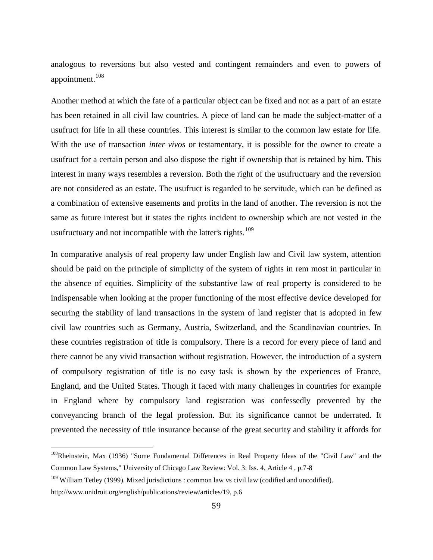analogous to reversions but also vested and contingent remainders and even to powers of appointment.<sup>108</sup>

Another method at which the fate of a particular object can be fixed and not as a part of an estate has been retained in all civil law countries. A piece of land can be made the subject-matter of a usufruct for life in all these countries. This interest is similar to the common law estate for life. With the use of transaction *inter vivos* or testamentary, it is possible for the owner to create a usufruct for a certain person and also dispose the right if ownership that is retained by him. This interest in many ways resembles a reversion. Both the right of the usufructuary and the reversion are not considered as an estate. The usufruct is regarded to be servitude, which can be defined as a combination of extensive easements and profits in the land of another. The reversion is not the same as future interest but it states the rights incident to ownership which are not vested in the usufructuary and not incompatible with the latter's rights.<sup>109</sup>

In comparative analysis of real property law under English law and Civil law system, attention should be paid on the principle of simplicity of the system of rights in rem most in particular in the absence of equities. Simplicity of the substantive law of real property is considered to be indispensable when looking at the proper functioning of the most effective device developed for securing the stability of land transactions in the system of land register that is adopted in few civil law countries such as Germany, Austria, Switzerland, and the Scandinavian countries. In these countries registration of title is compulsory. There is a record for every piece of land and there cannot be any vivid transaction without registration. However, the introduction of a system of compulsory registration of title is no easy task is shown by the experiences of France, England, and the United States. Though it faced with many challenges in countries for example in England where by compulsory land registration was confessedly prevented by the conveyancing branch of the legal profession. But its significance cannot be underrated. It prevented the necessity of title insurance because of the great security and stability it affords for

<sup>&</sup>lt;sup>108</sup>Rheinstein, Max (1936) "Some Fundamental Differences in Real Property Ideas of the "Civil Law" and the Common Law Systems," University of Chicago Law Review: Vol. 3: Iss. 4, Article 4 , p.7-8

 $109$  William Tetley (1999). Mixed jurisdictions : common law vs civil law (codified and uncodified).

http://www.unidroit.org/english/publications/review/articles/19, p.6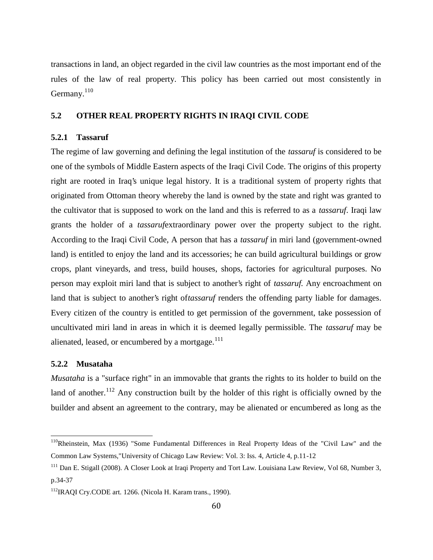transactions in land, an object regarded in the civil law countries as the most important end of the rules of the law of real property. This policy has been carried out most consistently in Germany. $110$ 

#### **5.2 OTHER REAL PROPERTY RIGHTS IN IRAQI CIVIL CODE**

#### **5.2.1 Tassaruf**

The regime of law governing and defining the legal institution of the *tassaruf* is considered to be one of the symbols of Middle Eastern aspects of the Iraqi Civil Code. The origins of this property right are rooted in Iraq's unique legal history. It is a traditional system of property rights that originated from Ottoman theory whereby the land is owned by the state and right was granted to the cultivator that is supposed to work on the land and this is referred to as a *tassaruf*. Iraqi law grants the holder of a *tassaruf*extraordinary power over the property subject to the right. According to the Iraqi Civil Code, A person that has a *tassaruf* in miri land (government-owned land) is entitled to enjoy the land and its accessories; he can build agricultural buildings or grow crops, plant vineyards, and tress, build houses, shops, factories for agricultural purposes. No person may exploit miri land that is subject to another's right of *tassaruf.* Any encroachment on land that is subject to another's right of*tassaruf* renders the offending party liable for damages. Every citizen of the country is entitled to get permission of the government, take possession of uncultivated miri land in areas in which it is deemed legally permissible. The *tassaruf* may be alienated, leased, or encumbered by a mortgage. $111$ 

#### **5.2.2 Musataha**

*Musataha* is a "surface right" in an immovable that grants the rights to its holder to build on the land of another.<sup>112</sup> Any construction built by the holder of this right is officially owned by the builder and absent an agreement to the contrary, may be alienated or encumbered as long as the

<sup>&</sup>lt;sup>110</sup>Rheinstein, Max (1936) "Some Fundamental Differences in Real Property Ideas of the "Civil Law" and the Common Law Systems,"University of Chicago Law Review: Vol. 3: Iss. 4, Article 4, p.11-12

<sup>&</sup>lt;sup>111</sup> Dan E. Stigall (2008). A Closer Look at Iraqi Property and Tort Law. Louisiana Law Review, Vol 68, Number 3, p.34-37

<sup>&</sup>lt;sup>112</sup>IRAQI Cry.CODE art. 1266. (Nicola H. Karam trans., 1990).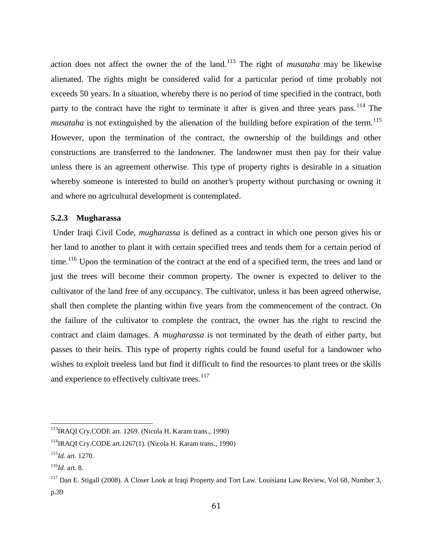action does not affect the owner the of the land.<sup>113</sup> The right of *musataha* may be likewise alienated. The rights might be considered valid for a particular period of time probably not exceeds 50 years. In a situation, whereby there is no period of time specified in the contract, both party to the contract have the right to terminate it after is given and three years pass.<sup>114</sup> The *musataha* is not extinguished by the alienation of the building before expiration of the term.<sup>115</sup> However, upon the termination of the contract, the ownership of the buildings and other constructions are transferred to the landowner. The landowner must then pay for their value unless there is an agreement otherwise. This type of property rights is desirable in a situation whereby someone is interested to build on another's property without purchasing or owning it and where no agricultural development is contemplated.

#### **5.2.3 Mugharassa**

Under Iraqi Civil Code, *mugharassa* is defined as a contract in which one person gives his or her land to another to plant it with certain specified trees and tends them for a certain period of time.<sup>116</sup> Upon the termination of the contract at the end of a specified term, the trees and land or just the trees will become their common property. The owner is expected to deliver to the cultivator of the land free of any occupancy. The cultivator, unless it has been agreed otherwise, shall then complete the planting within five years from the commencement of the contract. On the failure of the cultivator to complete the contract, the owner has the right to rescind the contract and claim damages. A *mugharassa* is not terminated by the death of either party, but passes to their heirs. This type of property rights could be found useful for a landowner who wishes to exploit treeless land but find it difficult to find the resources to plant trees or the skills and experience to effectively cultivate trees. $117$ 

<sup>113</sup>IRAQI Cry.CODE art. 1269. (Nicola H. Karam trans., 1990)

 $114$ IRAQI Cry.CODE art.1267(1). (Nicola H. Karam trans., 1990)

<sup>115</sup>*Id.* art. 1270.

<sup>116</sup>*Id.* art. 8.

<sup>&</sup>lt;sup>117</sup> Dan E. Stigall (2008). A Closer Look at Iraqi Property and Tort Law. Louisiana Law Review, Vol 68, Number 3, p.39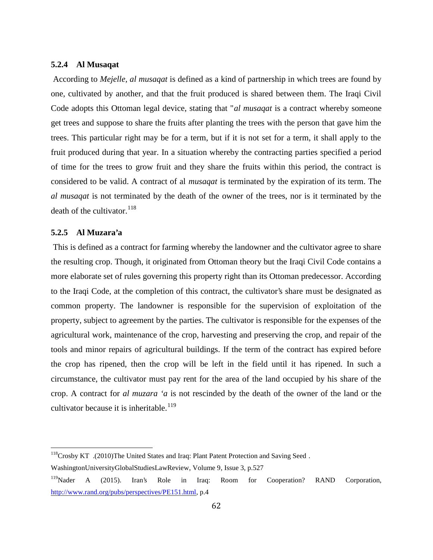#### **5.2.4 Al Musaqat**

According to *Mejelle, al musaqat* is defined as a kind of partnership in which trees are found by one, cultivated by another, and that the fruit produced is shared between them. The Iraqi Civil Code adopts this Ottoman legal device, stating that "*al musaqat* is a contract whereby someone get trees and suppose to share the fruits after planting the trees with the person that gave him the trees. This particular right may be for a term, but if it is not set for a term, it shall apply to the fruit produced during that year. In a situation whereby the contracting parties specified a period of time for the trees to grow fruit and they share the fruits within this period, the contract is considered to be valid. A contract of al *musaqat* is terminated by the expiration of its term. The *al musaqat* is not terminated by the death of the owner of the trees, nor is it terminated by the death of the cultivator. $118$ 

#### **5.2.5 Al Muzara'a**

This is defined as a contract for farming whereby the landowner and the cultivator agree to share the resulting crop. Though, it originated from Ottoman theory but the Iraqi Civil Code contains a more elaborate set of rules governing this property right than its Ottoman predecessor. According to the Iraqi Code, at the completion of this contract, the cultivator's share must be designated as common property. The landowner is responsible for the supervision of exploitation of the property, subject to agreement by the parties. The cultivator is responsible for the expenses of the agricultural work, maintenance of the crop, harvesting and preserving the crop, and repair of the tools and minor repairs of agricultural buildings. If the term of the contract has expired before the crop has ripened, then the crop will be left in the field until it has ripened. In such a circumstance, the cultivator must pay rent for the area of the land occupied by his share of the crop. A contract for *al muzara 'a* is not rescinded by the death of the owner of the land or the cultivator because it is inheritable.<sup>119</sup>

<sup>118</sup>Crosby KT .(2010)The United States and Iraq: Plant Patent Protection and Saving Seed .

WashingtonUniversityGlobalStudiesLawReview, Volume 9, Issue 3, p.527

<sup>&</sup>lt;sup>119</sup>Nader A (2015). Iran's Role in Iraq: Room for Cooperation? RAND Corporation, http://www.rand.org/pubs/perspectives/PE151.html, p.4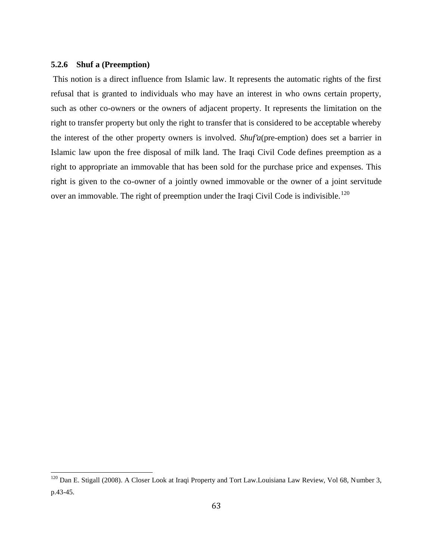#### **5.2.6 Shuf a (Preemption)**

This notion is a direct influence from Islamic law. It represents the automatic rights of the first refusal that is granted to individuals who may have an interest in who owns certain property, such as other co-owners or the owners of adjacent property. It represents the limitation on the right to transfer property but only the right to transfer that is considered to be acceptable whereby the interest of the other property owners is involved. *Shuf'a*(pre-emption) does set a barrier in Islamic law upon the free disposal of milk land. The Iraqi Civil Code defines preemption as a right to appropriate an immovable that has been sold for the purchase price and expenses. This right is given to the co-owner of a jointly owned immovable or the owner of a joint servitude over an immovable. The right of preemption under the Iraqi Civil Code is indivisible.<sup>120</sup>

<sup>&</sup>lt;sup>120</sup> Dan E. Stigall (2008). A Closer Look at Iraqi Property and Tort Law.Louisiana Law Review, Vol 68, Number 3, p.43-45.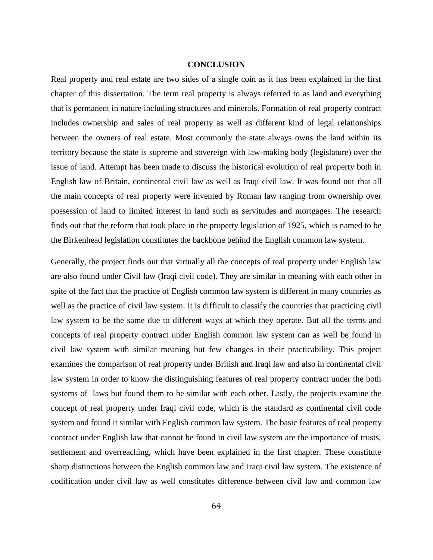#### **CONCLUSION**

Real property and real estate are two sides of a single coin as it has been explained in the first chapter of this dissertation. The term real property is always referred to as land and everything that is permanent in nature including structures and minerals. Formation of real property contract includes ownership and sales of real property as well as different kind of legal relationships between the owners of real estate. Most commonly the state always owns the land within its territory because the state is supreme and sovereign with law-making body (legislature) over the issue of land. Attempt has been made to discuss the historical evolution of real property both in English law of Britain, continental civil law as well as Iraqi civil law. It was found out that all the main concepts of real property were invented by Roman law ranging from ownership over possession of land to limited interest in land such as servitudes and mortgages. The research finds out that the reform that took place in the property legislation of 1925, which is named to be the Birkenhead legislation constitutes the backbone behind the English common law system.

Generally, the project finds out that virtually all the concepts of real property under English law are also found under Civil law (Iraqi civil code). They are similar in meaning with each other in spite of the fact that the practice of English common law system is different in many countries as well as the practice of civil law system. It is difficult to classify the countries that practicing civil law system to be the same due to different ways at which they operate. But all the terms and concepts of real property contract under English common law system can as well be found in civil law system with similar meaning but few changes in their practicability. This project examines the comparison of real property under British and Iraqi law and also in continental civil law system in order to know the distinguishing features of real property contract under the both systems of laws but found them to be similar with each other. Lastly, the projects examine the concept of real property under Iraqi civil code, which is the standard as continental civil code system and found it similar with English common law system. The basic features of real property contract under English law that cannot be found in civil law system are the importance of trusts, settlement and overreaching, which have been explained in the first chapter. These constitute sharp distinctions between the English common law and Iraqi civil law system. The existence of codification under civil law as well constitutes difference between civil law and common law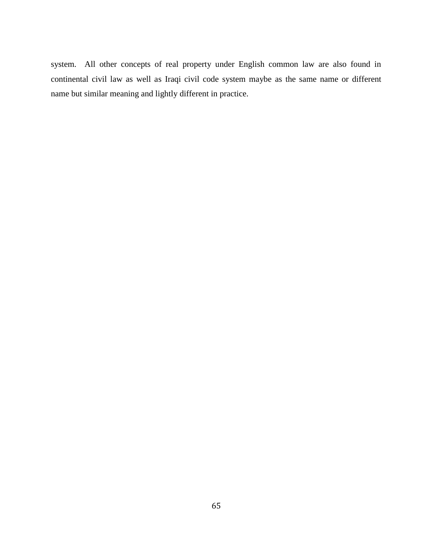system. All other concepts of real property under English common law are also found in continental civil law as well as Iraqi civil code system maybe as the same name or different name but similar meaning and lightly different in practice.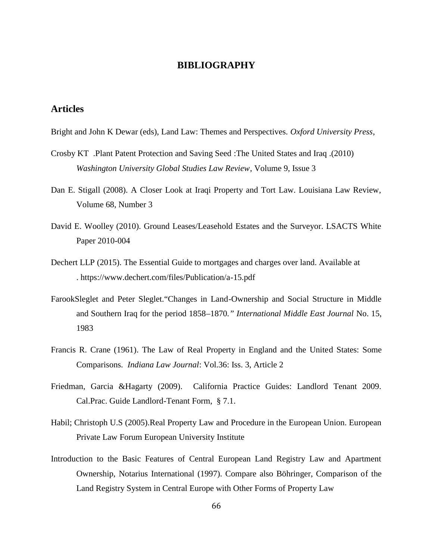### **BIBLIOGRAPHY**

# **Articles**

Bright and John K Dewar (eds), Land Law: Themes and Perspectives. *Oxford University Press*,

- Crosby KT .Plant Patent Protection and Saving Seed :The United States and Iraq .(2010) *Washington University Global Studies Law Review*, Volume 9, Issue 3
- Dan E. Stigall (2008). A Closer Look at Iraqi Property and Tort Law. Louisiana Law Review, Volume 68, Number 3
- David E. Woolley (2010). Ground Leases/Leasehold Estates and the Surveyor. LSACTS White Paper 2010-004
- Dechert LLP (2015). The Essential Guide to mortgages and charges over land. Available at . https://www.dechert.com/files/Publication/a-15.pdf
- FarookSleglet and Peter Sleglet."Changes in Land-Ownership and Social Structure in Middle and Southern Iraq for the period 1858–1870*." International Middle East Journal* No. 15, 1983
- Francis R. Crane (1961). The Law of Real Property in England and the United States: Some Comparisons*. Indiana Law Journal*: Vol.36: Iss. 3, Article 2
- Friedman, Garcia &Hagarty (2009). California Practice Guides: Landlord Tenant 2009. Cal.Prac. Guide Landlord-Tenant Form, § 7.1.
- Habil; Christoph U.S (2005).Real Property Law and Procedure in the European Union. European Private Law Forum European University Institute
- Introduction to the Basic Features of Central European Land Registry Law and Apartment Ownership, Notarius International (1997). Compare also Böhringer, Comparison of the Land Registry System in Central Europe with Other Forms of Property Law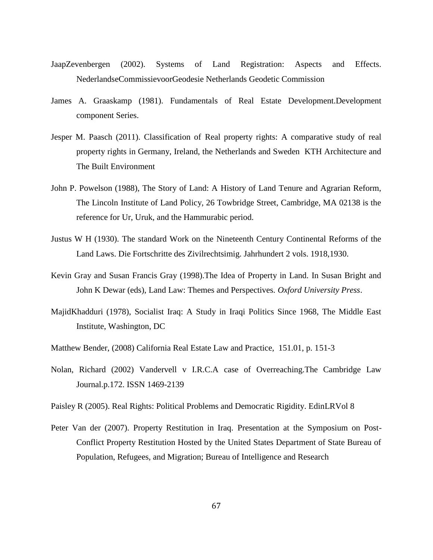- JaapZevenbergen (2002). Systems of Land Registration: Aspects and Effects. NederlandseCommissievoorGeodesie Netherlands Geodetic Commission
- James A. Graaskamp (1981). Fundamentals of Real Estate Development.Development component Series.
- Jesper M. Paasch (2011). Classification of Real property rights: A comparative study of real property rights in Germany, Ireland, the Netherlands and Sweden KTH Architecture and The Built Environment
- John P. Powelson (1988), The Story of Land: A History of Land Tenure and Agrarian Reform, The Lincoln Institute of Land Policy, 26 Towbridge Street, Cambridge, MA 02138 is the reference for Ur, Uruk, and the Hammurabic period.
- Justus W H (1930). The standard Work on the Nineteenth Century Continental Reforms of the Land Laws. Die Fortschritte des Zivilrechtsimig. Jahrhundert 2 vols. 1918,1930.
- Kevin Gray and Susan Francis Gray (1998).The Idea of Property in Land. In Susan Bright and John K Dewar (eds), Land Law: Themes and Perspectives*. Oxford University Press*.
- MajidKhadduri (1978), Socialist Iraq: A Study in Iraqi Politics Since 1968, The Middle East Institute, Washington, DC
- Matthew Bender, (2008) California Real Estate Law and Practice, 151.01, p. 151-3
- Nolan, Richard (2002) Vandervell v I.R.C.A case of Overreaching.The Cambridge Law Journal.p.172. ISSN 1469-2139

Paisley R (2005). Real Rights: Political Problems and Democratic Rigidity. EdinLRVol 8

Peter Van der (2007). Property Restitution in Iraq. Presentation at the Symposium on Post- Conflict Property Restitution Hosted by the United States Department of State Bureau of Population, Refugees, and Migration; Bureau of Intelligence and Research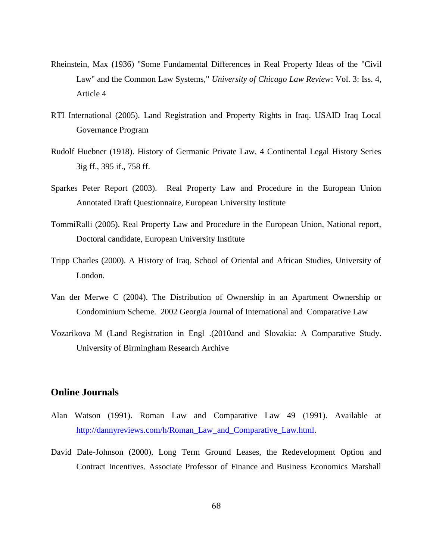- Rheinstein, Max (1936) "Some Fundamental Differences in Real Property Ideas of the "Civil Law" and the Common Law Systems," *University of Chicago Law Review*: Vol. 3: Iss. 4, Article 4
- RTI International (2005). Land Registration and Property Rights in Iraq. USAID Iraq Local Governance Program
- Rudolf Huebner (1918). History of Germanic Private Law, 4 Continental Legal History Series 3ig ff., 395 if., 758 ff.
- Sparkes Peter Report (2003). Real Property Law and Procedure in the European Union Annotated Draft Questionnaire, European University Institute
- TommiRalli (2005). Real Property Law and Procedure in the European Union, National report, Doctoral candidate, European University Institute
- Tripp Charles (2000). A History of Iraq. School of Oriental and African Studies, University of London.
- Van der Merwe C (2004). The Distribution of Ownership in an Apartment Ownership or Condominium Scheme. 2002 Georgia Journal of International and Comparative Law
- Vozarikova M (Land Registration in Engl .(2010and and Slovakia: A Comparative Study. University of Birmingham Research Archive

# **Online Journals**

- Alan Watson (1991). Roman Law and Comparative Law 49 (1991). Available at http://dannyreviews.com/h/Roman\_Law\_and\_Comparative\_Law.html.
- David Dale-Johnson (2000). Long Term Ground Leases, the Redevelopment Option and Contract Incentives. Associate Professor of Finance and Business Economics Marshall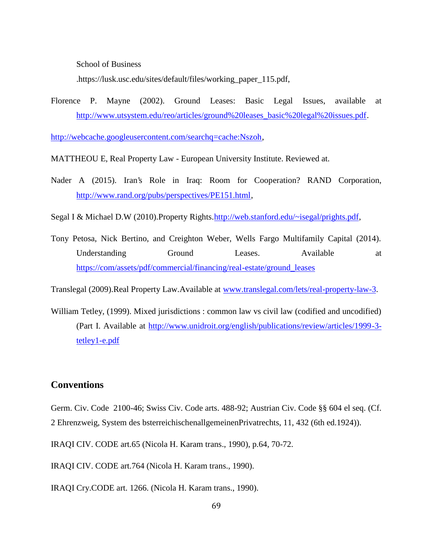School of Business

.https://lusk.usc.edu/sites/default/files/working\_paper\_115.pdf,

Florence P. Mayne (2002). Ground Leases: Basic Legal Issues, available at http://www.utsystem.edu/reo/articles/ground%20leases\_basic%20legal%20issues.pdf.

http://webcache.googleusercontent.com/searchq=cache:Nszoh,

MATTHEOU E, Real Property Law - European University Institute. Reviewed at.

Nader A (2015). Iran's Role in Iraq: Room for Cooperation? RAND Corporation, http://www.rand.org/pubs/perspectives/PE151.html,

Segal I & Michael D.W (2010).Property Rights.http://web.stanford.edu/~isegal/prights.pdf,

Tony Petosa, Nick Bertino, and Creighton Weber, Wells Fargo Multifamily Capital (2014). Understanding Ground Leases. Available at https://com/assets/pdf/commercial/financing/real-estate/ground\_leases

Translegal (2009).Real Property Law.Available at www.translegal.com/lets/real-property-law-3.

William Tetley, (1999). Mixed jurisdictions : common law vs civil law (codified and uncodified) (Part I. Available at http://www.unidroit.org/english/publications/review/articles/1999-3 tetley1-e.pdf

### **Conventions**

Germ. Civ. Code 2100-46; Swiss Civ. Code arts. 488-92; Austrian Civ. Code §§ 604 el seq. (Cf. 2 Ehrenzweig, System des bsterreichischenallgemeinenPrivatrechts, 11, 432 (6th ed.1924)).

IRAQI CIV. CODE art.65 (Nicola H. Karam trans., 1990), p.64, 70-72.

IRAQI CIV. CODE art.764 (Nicola H. Karam trans., 1990).

IRAQI Cry.CODE art. 1266. (Nicola H. Karam trans., 1990).